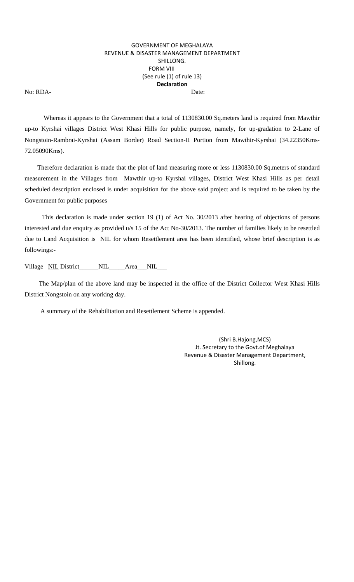## GOVERNMENT OF MEGHALAYA REVENUE & DISASTER MANAGEMENT DEPARTMENT SHILLONG. FORM VIII (See rule (1) of rule 13) **Declaration** No: RDA- Date:

 Whereas it appears to the Government that a total of 1130830.00 Sq.meters land is required from Mawthir up-to Kyrshai villages District West Khasi Hills for public purpose, namely, for up-gradation to 2-Lane of Nongstoin-Rambrai-Kyrshai (Assam Border) Road Section-II Portion from Mawthir-Kyrshai (34.22350Kms-72.05090Kms).

 Therefore declaration is made that the plot of land measuring more or less 1130830.00 Sq.meters of standard measurement in the Villages from Mawthir up-to Kyrshai villages, District West Khasi Hills as per detail scheduled description enclosed is under acquisition for the above said project and is required to be taken by the Government for public purposes

 This declaration is made under section 19 (1) of Act No. 30/2013 after hearing of objections of persons interested and due enquiry as provided u/s 15 of the Act No-30/2013. The number of families likely to be resettled due to Land Acquisition is NIL for whom Resettlement area has been identified, whose brief description is as followings:-

Village NIL District\_\_\_\_\_NIL\_\_\_\_Area\_\_NIL\_\_\_

 The Map/plan of the above land may be inspected in the office of the District Collector West Khasi Hills District Nongstoin on any working day.

A summary of the Rehabilitation and Resettlement Scheme is appended.

(Shri B.Hajong,MCS) Jt. Secretary to the Govt.of Meghalaya Revenue & Disaster Management Department, Shillong.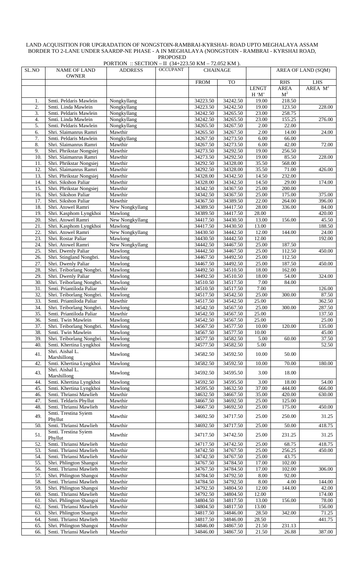## LAND ACQUISITION FOR UPGRADATION OF NONGSTOIN-RAMBRAI-KYRSHAI- ROAD UPTO MEGHALAYA ASSAM BORDER TO 2-LANE UNDER SAARDP-NE PHASE - A IN MEGHALAYA (NONGSTOIN - RAMBRAI - KYRSHAI ROAD, PROPOSED

|                          |                                                      | PORTION :: SECTION - II (34+223.50 KM - 72.052 KM). |                 |                      |                      |                |                |                    |
|--------------------------|------------------------------------------------------|-----------------------------------------------------|-----------------|----------------------|----------------------|----------------|----------------|--------------------|
| SL.NO                    | <b>NAME OF LAND</b>                                  | <b>ADDRESS</b>                                      | <b>OCCUPANT</b> |                      | <b>CHAINAGE</b>      |                |                | AREA OF LAND (SQM) |
|                          | <b>OWNER</b>                                         |                                                     |                 |                      |                      |                |                |                    |
|                          |                                                      |                                                     |                 | <b>FROM</b>          | <b>TO</b>            |                | <b>RHS</b>     | LHS                |
|                          |                                                      |                                                     |                 |                      |                      | <b>LENGT</b>   | AREA           | AREA $M^2$         |
|                          |                                                      |                                                     |                 |                      |                      | H'M'           | M <sup>2</sup> |                    |
| 1.                       | Smti. Peldaris Mawlein                               | Nongkyllang                                         |                 | 34223.50             | 34242.50             | 19.00          | 218.50         |                    |
| 2.                       | Smti. Linda Mawlein                                  | Nongkyllang                                         |                 | 34223.50             | 34242.50             | 19.00          | 123.50         | 228.00             |
| 3.                       | Smti. Peldaris Mawlein                               | Nongkyllang                                         |                 | 34242.50             | 34265.50             | 23.00          | 258.75         |                    |
| 4.                       | Smti. Linda Mawlein                                  | Nongkyllang                                         |                 | 34242.50             | 34265.50             | 23.00          | 155.25         | 276.00             |
| 5.                       | Smti. Peldaris Mawlein                               | Nongkyllang                                         |                 | 34265.50             | 34267.50             | 2.00           | 22.00          |                    |
| 6.                       | Shri. Slaimanrus Ramri                               | Mawthir                                             |                 | 34265.50             | 34267.50             | 2.00           | 14.00          | 24.00              |
| 7.                       | Smti. Peldaris Mawlein                               | Nongkyllang                                         |                 | 34267.50             | 34273.50             | 6.00           | 66.00          |                    |
| 8.                       | Shri. Slaimanrus Ramri                               | Mawthir                                             |                 | 34267.50             | 34273.50             | 6.00           | 42.00          | 72.00              |
| 9.                       | Shri. Phrikstar Nongsiej                             | Mawthir                                             |                 | 34273.50             | 34292.50             | 19.00          | 256.50         |                    |
| 10.                      | Shri. Slaimanrus Ramri                               | Mawthir                                             |                 | 34273.50             | 34292.50             | 19.00          | 85.50          | 228.00             |
| 11.                      | Shri. Phrikstar Nongsiej                             | Mawthir                                             |                 | 34292.50             | 34328.00             | 35.50          | 568.00         |                    |
| 12.                      | Shri. Slaimanrus Ramri                               | Mawthir                                             |                 | 34292.50             | 34328.00             | 35.50          | 71.00          | 426.00             |
| 13.                      | Shri. Phrikstar Nongsiej                             | Mawthir                                             |                 | 34328.00             | 34342.50             | 14.50          | 232.00         |                    |
| 14.                      | Shri. Sikshon Paliar                                 | Mawthir                                             |                 | 34328.00             | 34342.50             | 14.50          | 29.00          | 174.00             |
| 15.                      | Shri. Phrikstar Nongsiej                             | Mawthir                                             |                 | 34342.50             | 34367.50             | 25.00          | 200.00         |                    |
| 16.                      | Shri. Sikshon Paliar<br>Shri. Sikshon Paliar         | Mawthir                                             |                 | 34342.50             | 34367.50             | 25.00          | 175.00         | 375.00             |
| 17.                      | Shri. Atowel Ramri                                   | Mawthir                                             |                 | 34367.50             | 34389.50             | 22.00          | 264.00         | 396.00             |
| 18.<br>19.               |                                                      | New Nongkyllang                                     |                 | 34389.50             | 34417.50<br>34417.50 | 28.00<br>28.00 | 336.00         | 84.00<br>420.00    |
| 20.                      | Shri. Kasphom Lyngkhoi<br>Shri. Atowel Ramri         | Mawlong                                             |                 | 34389.50<br>34417.50 | 34430.50             |                |                | 45.50              |
| 21.                      | Shri. Kasphom Lyngkhoi                               | New Nongkyllang                                     |                 |                      | 34430.50             | 13.00<br>13.00 | 156.00         | 188.50             |
|                          |                                                      | Mawlong                                             |                 | 34417.50             |                      |                |                |                    |
| 22.<br>$\overline{23}$ . | Shri. Atowel Ramri                                   | New Nongkyllang                                     |                 | 34430.50             | 34442.50             | 12.00          | 144.00         | 24.00              |
|                          | Shri. Rostar Paliar                                  | Mawlong                                             |                 | 34430.50             | 34442.50             | 12.00          |                | 192.00             |
| 24.                      | Shri. Atowel Ramri                                   | New Nongkyllang                                     |                 | 34442.50             | 34467.50             | 25.00          | 187.50         |                    |
| 25.                      | Shri. Dwenly Paliar                                  | Mawlong                                             |                 | 34442.50             | 34467.50             | 25.00          | 112.50         | 450.00             |
| 26.                      | Shri. Stingland Nongbri.                             | Mawlong                                             |                 | 34467.50             | 34492.50             | 25.00          | 112.50         |                    |
| 27.<br>28.               | Shri. Dwenly Paliar                                  | Mawlong                                             |                 | 34467.50             | 34492.50             | 25.00          | 187.50         | 450.00             |
|                          | Shri. Teiborlang Nongbri.                            | Mawlong                                             |                 | 34492.50             | 34510.50             | 18.00          | 162.00         |                    |
| 29.                      | Shri. Dwenly Paliar                                  | Mawlong                                             |                 | 34492.50             | 34510.50             | 18.00          | 54.00          | 324.00             |
| 30.                      | Shri. Teiborlang Nongbri.                            | Mawlong                                             |                 | 34510.50             | 34517.50             | 7.00           | 84.00          |                    |
| 31.                      | Smti. Priantiloda Paliar                             | Mawthir                                             |                 | 34510.50             | 34517.50             | 7.00           |                | 126.00             |
| 32.<br>33.               | Shri. Teiborlang Nongbri.                            | Mawlong                                             |                 | 34517.50             | 34542.50             | 25.00          | 300.00         | 87.50              |
| 34.                      | Smti. Priantiloda Paliar                             | Mawthir                                             |                 | 34517.50<br>34542.50 | 34542.50             | 25.00<br>25.00 |                | 362.50             |
|                          | Shri. Teiborlang Nongbri.                            | Mawlong                                             |                 |                      | 34567.50             |                | 300.00         | 287.50             |
| 35.                      | Smti. Priantiloda Paliar                             | Mawthir                                             |                 | 34542.50             | 34567.50             | 25.00          |                | 137.50             |
| $\overline{36}$ .        | Smti. Twin Mawlein<br>Shri. Teiborlang Nongbri.      | Mawlong                                             |                 | 34542.50             | 34567.50             | 25.00          |                | 25.00              |
| 37.                      |                                                      | Mawlong<br>Mawlong                                  |                 | 34567.50             | 34577.50<br>34577.50 | 10.00          | 120.00         | 135.00             |
| 38.                      | Smti. Twin Mawlein                                   |                                                     |                 | 34567.50             |                      | 10.00          |                | 45.00              |
| 39.<br>40.               | Shri. Teiborlang Nongbri.<br>Smti. Khertina Lyngkhoi | Mawlong<br>Mawlong                                  |                 | 34577.50             | 34582.50             | 5.00<br>5.00   | 60.00          | 37.50<br>52.50     |
|                          | Shri. Aishal L.                                      |                                                     |                 | 34577.50             | 34582.50             |                |                |                    |
| 41.                      | Marshillong                                          | Mawlong                                             |                 | 34582.50             | 34592.50             | 10.00          | 50.00          |                    |
| 42.                      | Smti. Khertina Lyngkhoi                              | Mawlong                                             |                 | 34582.50             | 34592.50             | 10.00          | 70.00          | 180.00             |
|                          | Shri. Aishal L.                                      |                                                     |                 |                      |                      |                |                |                    |
| 43.                      | Marshillong                                          | Mawlong                                             |                 | 34592.50             | 34595.50             | 3.00           | 18.00          |                    |
| 44.                      | Smti. Khertina Lyngkhoi                              | Mawlong                                             |                 | 34592.50             | 34595.50             | 3.00           | 18.00          | 54.00              |
| 45.                      | Smti. Khertina Lyngkhoi                              | Mawlong                                             |                 | 34595.50             | 34632.50             | 37.00          | 444.00         | 666.00             |
| 46.                      | Smti. Thriansi Mawlieh                               | Mawthir                                             |                 | 34632.50             | 34667.50             | 35.00          | 420.00         | 630.00             |
| 47.                      | Smti. Teldaris Phyllut                               | Mawthir                                             |                 | 34667.50             | 34692.50             | 25.00          | 125.00         |                    |
| 48.                      | Smti. Thriansi Mawlieh                               | Mawthir                                             |                 | 34667.50             | 34692.50             | 25.00          | 175.00         | 450.00             |
|                          | Smti. Trestina Syiem                                 |                                                     |                 |                      |                      |                |                |                    |
| 49.                      | Phyllut                                              | Mawthir                                             |                 | 34692.50             | 34717.50             | 25.00          | 250.00         | 31.25              |
| 50.                      | Smti. Thriansi Mawlieh                               | Mawthir                                             |                 | 34692.50             | 34717.50             | 25.00          | 50.00          | 418.75             |
|                          | Smti. Trestina Syiem                                 |                                                     |                 |                      |                      |                |                |                    |
| 51.                      | Phyllut                                              | Mawthir                                             |                 | 34717.50             | 34742.50             | 25.00          | 231.25         | 31.25              |
| 52.                      | Smti. Thriansi Mawlieh                               | Mawthir                                             |                 | 34717.50             | 34742.50             | 25.00          | 68.75          | 418.75             |
| 53.                      | Smti. Thriansi Mawlieh                               | Mawthir                                             |                 | 34742.50             | 34767.50             | 25.00          | 256.25         | 450.00             |
| 54.                      | Smti. Thriansi Mawlieh                               | Mawthir                                             |                 | 34742.50             | 34767.50             | 25.00          | 43.75          |                    |
| 55.                      | Shri. Phlington Shangoi                              | Mawthir                                             |                 | 34767.50             | 34784.50             | 17.00          | 102.00         |                    |
| 56.                      | Smti. Thriansi Mawlieh                               | Mawthir                                             |                 | 34767.50             | 34784.50             | 17.00          | 102.00         | 306.00             |
| 57.                      | Shri. Phlington Shangoi                              | Mawthir                                             |                 | 34784.50             | 34792.50             | 8.00           | 92.00          |                    |
| 58.                      | Smti. Thriansi Mawlieh                               | Mawthir                                             |                 | 34784.50             | 34792.50             | 8.00           | 4.00           | 144.00             |
| 59.                      | Shri. Phlington Shangoi                              | Mawthir                                             |                 | 34792.50             | 34804.50             | 12.00          | 144.00         | 42.00              |
| 60.                      | Smti. Thriansi Mawlieh                               | Mawthir                                             |                 | 34792.50             | 34804.50             | 12.00          |                | 174.00             |
| 61.                      | Shri. Phlington Shangoi                              | Mawthir                                             |                 | 34804.50             | 34817.50             | 13.00          | 156.00         | 78.00              |
| 62.                      | Smti. Thriansi Mawlieh                               | Mawthir                                             |                 | 34804.50             | 34817.50             | 13.00          |                | 156.00             |
| 63.                      | Shri. Phlington Shangoi                              | Mawthir                                             |                 | 34817.50             | 34846.00             | 28.50          | 342.00         | 71.25              |
| 64.                      | Smti. Thriansi Mawlieh                               | Mawthir                                             |                 | 34817.50             | 34846.00             | 28.50          |                | 441.75             |
| 65.                      | Shri. Phlington Shangoi                              | Mawthir                                             |                 | 34846.00             | 34867.50             | 21.50          | 231.13         |                    |
| 66.                      | Smti. Thriansi Mawlieh                               | Mawthir                                             |                 | 34846.00             | 34867.50             | 21.50          | 26.88          | 387.00             |
|                          |                                                      |                                                     |                 |                      |                      |                |                |                    |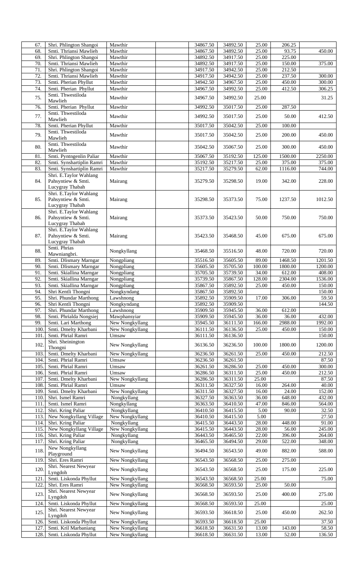| 67.  |                           | Mawthir             | 34867.50             | 34892.50             | 25.00  | 206.25  |         |
|------|---------------------------|---------------------|----------------------|----------------------|--------|---------|---------|
|      | Shri. Phlington Shangoi   |                     |                      |                      |        |         |         |
| 68.  | Smti. Thriansi Mawlieh    | Mawthir             | 34867.50             | 34892.50             | 25.00  | 93.75   | 450.00  |
| 69.  | Shri. Phlington Shangoi   | Mawthir             | 34892.50             | 34917.50             | 25.00  | 225.00  |         |
| 70.  | Smti. Thriansi Mawlieh    | Mawthir             | 34892.50             | 34917.50             | 25.00  | 150.00  | 375.00  |
| 71.  | Shri. Phlington Shangoi   | Mawthir             | 34917.50             | 34942.50             | 25.00  | 212.50  |         |
|      |                           |                     |                      |                      |        |         |         |
| 72.  | Smti. Thriansi Mawlieh    | Mawthir             | 34917.50             | 34942.50             | 25.00  | 237.50  | 300.00  |
| 73.  | Smti. Pherian Phyllut     | Mawthir             | 34942.50             | 34967.50             | 25.00  | 450.00  | 300.00  |
| 74.  | Smti. Pherian Phyllut     | Mawthir             | 34967.50             | 34992.50             | 25.00  | 412.50  | 306.25  |
|      |                           |                     |                      |                      |        |         |         |
| 75.  | Smti. Thwestiloda         | Mawthir             | 34967.50             | 34992.50             | 25.00  |         | 31.25   |
|      | Mawlieh                   |                     |                      |                      |        |         |         |
| 76.  | Smti. Pherian Phyllut     | Mawthir             | 34992.50             | 35017.50             | 25.00  | 287.50  |         |
|      |                           |                     |                      |                      |        |         |         |
| 77.  | Smti. Thwestiloda         | Mawthir             | 34992.50             | 35017.50             | 25.00  | 50.00   | 412.50  |
|      | Mawlieh                   |                     |                      |                      |        |         |         |
| 78.  | Smti. Pherian Phyllut     | Mawthir             | 35017.50             | 35042.50             | 25.00  | 100.00  |         |
|      |                           |                     |                      |                      |        |         |         |
| 79.  | Smti. Thwestiloda         | Mawthir             | 35017.50             | 35042.50             | 25.00  | 200.00  | 450.00  |
|      | Mawlieh                   |                     |                      |                      |        |         |         |
|      | Smti. Thwestiloda         |                     |                      |                      |        |         |         |
| 80.  |                           | Mawthir             | 35042.50             | 35067.50             | 25.00  | 300.00  | 450.00  |
|      | Mawlieh                   |                     |                      |                      |        |         |         |
| 81.  | Smti. Pyntngenlin Paliar  | Mawthir             | 35067.50             | 35192.50             | 125.00 | 1500.00 | 2250.00 |
|      |                           | Mawthir             |                      |                      |        | 375.00  |         |
| 82.  | Smti. Synshartiplin Ramri |                     | 35192.50             | 35217.50             | 25.00  |         | 375.00  |
| 83.  | Smti. Synshartiplin Ramri | Mawthir             | 35217.50             | 35279.50             | 62.00  | 1116.00 | 744.00  |
|      | Shri. E.Taylor Wahlang    |                     |                      |                      |        |         |         |
|      |                           |                     |                      |                      |        |         |         |
| 84.  | Pahsyntiew & Smti.        | Mairang             | 35279.50             | 35298.50             | 19.00  | 342.00  | 228.00  |
|      | Lucygray Thabah           |                     |                      |                      |        |         |         |
|      | Shri. E.Taylor Wahlang    |                     |                      |                      |        |         |         |
| 85.  | Pahsyntiew & Smti.        |                     | 35298.50             | 35373.50             | 75.00  | 1237.50 |         |
|      |                           | Mairang             |                      |                      |        |         | 1012.50 |
|      | Lucygray Thabah           |                     |                      |                      |        |         |         |
|      | Shri. E.Taylor Wahlang    |                     |                      |                      |        |         |         |
|      |                           |                     |                      |                      |        |         |         |
| 86.  | Pahsyntiew & Smti.        | Mairang             | 35373.50             | 35423.50             | 50.00  | 750.00  | 750.00  |
|      | Lucygray Thabah           |                     |                      |                      |        |         |         |
|      | Shri. E.Taylor Wahlang    |                     |                      |                      |        |         |         |
|      |                           |                     |                      |                      |        |         |         |
| 87.  | Pahsyntiew & Smti.        | Mairang             | 35423.50             | 35468.50             | 45.00  | 675.00  | 675.00  |
|      | Lucygray Thabah           |                     |                      |                      |        |         |         |
|      | Smti. Phrias              |                     |                      |                      |        |         |         |
| 88.  |                           | Nongkyllang         | 35468.50             | 35516.50             | 48.00  | 720.00  | 720.00  |
|      | Mawniangbri.              |                     |                      |                      |        |         |         |
| 89.  | Smti. Dlismary Marngar    | Nongpliang          | 35516.50             | 35605.50             | 89.00  | 1468.50 | 1201.50 |
| 90.  | Smti. Dlismary Marngar    | Nongpliang          | 35605.50             | 35705.50             | 100.00 | 1800.00 | 1200.00 |
|      |                           |                     |                      |                      |        |         |         |
| 91.  | Smti. Skiallina Marngar   | Nongpliang          | 35705.50             | 35739.50             | 34.00  | 612.00  | 408.00  |
| 92.  | Smti. Skiallina Marngar   | Nongpliang          | 35739.50             | 35867.50             | 128.00 | 2304.00 | 1536.00 |
|      | Smti. Skiallina Marngar   |                     |                      |                      |        |         | 150.00  |
| 93.  |                           | Nongpliang          | 35867.50             | 35892.50             | 25.00  | 450.00  |         |
| 94.  | Shri Kentli Thongni       | Nongkyndang         | 35867.50             | 35892.50             |        |         | 150.00  |
| 95.  | Shri. Phundar Marthong    | Lawshnong           | 35892.50             | 35909.50             | 17.00  | 306.00  | 59.50   |
|      |                           |                     |                      |                      |        |         |         |
| 96.  | Shri Kentli Thongni       | Nongkyndang         | 35892.50             | 35909.50             |        |         | 144.50  |
| 97.  | Shri. Phundar Marthong    | Lawshnong           | 35909.50             | 35945.50             | 36.00  | 612.00  |         |
| 98.  | Smti. Phrialda Nongsiej   | Mawphansyiar        | 35909.50             | 35945.50             | 36.00  | 36.00   | 432.00  |
|      |                           |                     |                      |                      |        |         |         |
|      |                           |                     |                      |                      |        |         |         |
| 99.  | Smti. Lari Marthong       | New Nongkyllang     | 35945.50             | 36111.50             | 166.00 | 2988.00 | 1992.00 |
|      |                           |                     |                      |                      |        |         |         |
| 100  | Smti. Dmelty Kharbani     | New Nongkyllang     | 36111.50             | 36136.50             | 25.00  | 450.00  | 150.00  |
| 101  | Smti. Phrial Ramri        | Umsaw               | 36111.50             | 36136.50             |        |         | 150.00  |
|      | Shri. Sheinington         |                     |                      |                      |        |         |         |
| 102. |                           | New Nongkyllang     | 36136.50             | 36236.50             | 100.00 | 1800.00 | 1200.00 |
|      | Thongni                   |                     |                      |                      |        |         |         |
| 103  | Smti. Dmelty Kharbani     | New Nongkyllang     | 36236.50             | 36261.50             | 25.00  | 450.00  | 212.50  |
| 104. | Smti. Phrial Ramri        | Umsaw               | 36236.50             | 36261.50             |        |         | 87.50   |
| 105. | Smti. Phrial Ramri        |                     |                      |                      |        |         |         |
|      |                           | $\overline{U}$ msaw | 36261.50             | 36286.50             | 25.00  | 450.00  | 300.00  |
| 106. | Smti. Phrial Ramri        | Umsaw               | 36286.50             | 36311.50             | 25.00  | 450.00  | 212.50  |
| 107. | Smti. Dmelty Kharbani     | New Nongkyllang     | 36286.50             | 36311.50             | 25.00  |         | 87.50   |
|      |                           |                     |                      |                      |        |         |         |
| 108. | Smti. Phrial Ramri        | Umsaw               | 36311.50             | 36327.50             | 16.00  | 264.00  | 40.00   |
| 109  | Smti. Dmelty Kharbani     | New Nongkyllang     | 36311.50             | 36327.50             | 16.00  | 24.00   | 152.00  |
| 110. | Shri. Ismel Ramri         | Nongkyllang         | 36327.50             | 36363.50             | 36.00  | 648.00  | 432.00  |
| 111  |                           |                     |                      |                      | 47.00  | 846.00  |         |
|      | Smti. Ismel Ramri         | Nongkyllang         | 36363.50             | 36410.50             |        |         | 564.00  |
| 112  | Shri. Kring Paliar        | Nongkyllang         | 36410.50             | 36415.50             | 5.00   | 90.00   | 32.50   |
| 113. | New Nongkyllang Village   | New Nongkyllang     | 36410.50             | 36415.50             | 5.00   |         | 27.50   |
|      |                           |                     |                      |                      |        |         |         |
| 114. | Shri. Kring Paliar        | Nongkyllang         | 36415.50             | 36443.50             | 28.00  | 448.00  | 91.00   |
| 115  | New Nongkyllang Village   | New Nongkyllang     | 36415.50             | 36443.50             | 28.00  | 56.00   | 245.00  |
| 116. | Shri. Kring Paliar        | Nongkyllang         | 36443.50             | 36465.50             | 22.00  | 396.00  | 264.00  |
|      |                           |                     |                      |                      |        |         |         |
| 117. | Shri. Kring Paliar        | Nongkyllang         | 36465.50             | 36494.50             | 29.00  | 522.00  | 348.00  |
|      | New Nongkyllang           |                     |                      |                      |        |         |         |
| 118. | Playground                | New Nongkyllang     | 36494.50             | 36543.50             | 49.00  | 882.00  | 588.00  |
|      |                           |                     |                      |                      |        |         |         |
| 119  | Shri. Eres Ramri          | New Nongkyllang     | 36543.50             | 36568.50             | 25.00  | 275.00  |         |
|      | Shri. Nearest Newyear     |                     |                      |                      |        |         |         |
| 120. | Lyngdoh                   | New Nongkyllang     | 36543.50             | 36568.50             | 25.00  | 175.00  | 225.00  |
|      |                           |                     |                      |                      |        |         |         |
| 121  | Smti. Liskonda Phyllut    | New Nongkyllang     | 36543.50             | 36568.50             | 25.00  |         | 75.00   |
| 122. | Shri. Eres Ramri          | New Nongkyllang     | 36568.50             | 36593.50             | 25.00  | 50.00   |         |
|      | Shri. Nearest Newyear     |                     |                      |                      |        |         |         |
| 123. |                           | New Nongkyllang     | 36568.50             | 36593.50             | 25.00  | 400.00  | 275.00  |
|      | Lyngdoh                   |                     |                      |                      |        |         |         |
| 124  | Smti. Liskonda Phyllut    | New Nongkyllang     | 36568.50             | 36593.50             | 25.00  |         | 25.00   |
|      | Shri. Nearest Newyear     |                     |                      |                      |        |         |         |
| 125. |                           | New Nongkyllang     | 36593.50             | 36618.50             | 25.00  | 450.00  | 262.50  |
|      | Lyngdoh                   |                     |                      |                      |        |         |         |
| 126. | Smti. Liskonda Phyllut    | New Nongkyllang     | 36593.50             | 36618.50             | 25.00  |         | 37.50   |
| 127. | Smti. Kril Marbaniang     | New Nongkyllang     |                      |                      | 13.00  | 143.00  | 58.50   |
| 128. | Smti. Liskonda Phyllut    | New Nongkyllang     | 36618.50<br>36618.50 | 36631.50<br>36631.50 | 13.00  | 52.00   | 136.50  |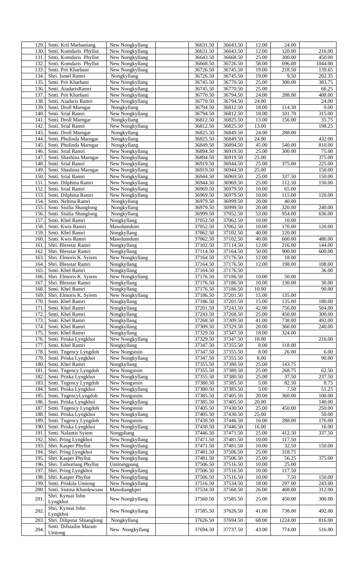| 129. |                                  |                 |          |          |       | 24.00   |                    |
|------|----------------------------------|-----------------|----------|----------|-------|---------|--------------------|
|      | Smti. Kril Marbaniang            | New Nongkyllang | 36631.50 | 36643.50 | 12.00 |         |                    |
| 130. | Smti. Komdaris Phyllut           | New Nongkyllang | 36631.50 | 36643.50 | 12.00 | 120.00  | 216.00             |
| 131. | Smti. Komdaris Phyllut           | New Nongkyllang | 36643.50 | 36668.50 | 25.00 | 300.00  | 450.00             |
| 132  | Smti. Komdaris Phyllut           | New Nongkyllang | 36668.50 | 36726.50 | 58.00 | 696.00  | 1044.00            |
| 133. | Smti. Prit Kharbani              | New Nongkyllang | 36726.50 | 36745.50 | 19.00 | 218.50  | 139.65             |
| 134. | Shri. Ismel Ramri                | Nongkyllang     | 36726.50 | 36745.50 | 19.00 | 9.50    | 202.35             |
|      |                                  |                 |          |          |       |         |                    |
| 135. | Smti. Prit Kharbani              | New Nongkyllang | 36745.50 | 36770.50 | 25.00 | 300.00  | 383.75             |
| 136. | Smti. AiadarisRamri              | New Nongkyllang | 36745.50 | 36770.50 | 25.00 |         | 66.25              |
| 137. | Smti. Prit Kharbani              | New Nongkyllang | 36770.50 | 36794.50 | 24.00 | 288.00  | 408.00             |
| 138. | Smti. Aiadaris Ramri             | New Nongkyllang | 36770.50 | 36794.50 | 24.00 |         | 24.00              |
|      | Smti. Droll Marngar              |                 |          |          | 18.00 |         | 9.00               |
| 139. |                                  | Nongkyllang     | 36794.50 | 36812.50 |       | 114.30  |                    |
| 140. | Smti. Srial Ramri                | New Nongkyllang | 36794.50 | 36812.50 | 18.00 | 101.70  | 315.00             |
| 141  | Smti. Droll Marngar              | Nongkyllang     | 36812.50 | 36825.50 | 13.00 | 156.00  | 35.75              |
| 142  | Smti. Srial Ramri                | New Nongkyllang | 36812.50 | 36825.50 | 13.00 |         | 198.25             |
| 143. | Smti. Droll Marngar              | Nongkyllang     | 36825.50 | 36849.50 | 24.00 | 288.00  |                    |
|      | Smti. Phulinda Marngar           |                 | 36825.50 | 36849.50 | 24.00 |         | 432.00             |
| 144. |                                  | Nongkyllang     |          |          |       |         |                    |
| 145. | Smti. Phulinda Marngar           | Nongkyllang     | 36849.50 | 36894.50 | 45.00 | 540.00  | 810.00             |
| 146. | Smti. Srial Ramri                | New Nongkyllang | 36894.50 | 36919.50 | 25.00 | 300.00  | 75.00              |
| 147. | Smti. Shashina Marngar           | New Nongkyllang | 36894.50 | 36919.50 | 25.00 |         | 375.00             |
| 148. | Smti. Srial Ramri                | New Nongkyllang | 36919.50 | 36944.50 | 25.00 | 375.00  | 225.00             |
|      |                                  |                 |          |          | 25.00 |         |                    |
| 149  | Smti. Shashina Marngar           | New Nongkyllang | 36919.50 | 36944.50 |       |         | 150.00             |
| 150. | Smti. Srial Ramri                | New Nongkyllang | 36944.50 | 36969.50 | 25.00 | 337.50  | 150.00             |
| 151  | Smti. Dilphina Ramri             | New Nongkyllang | 36944.50 | 36969.50 | 25.00 | 112.50  | 150.00             |
| 152  | Smti. Srial Ramri                | New Nongkyllang | 36969.50 | 36979.50 | 10.00 | 65.00   |                    |
| 153. | Smti. Dilphina Ramri             | New Nongkyllang | 36969.50 | 36979.50 | 10.00 | 115.00  | 120.00             |
|      |                                  |                 |          |          |       |         |                    |
| 154. | Smti. Neltina Ramri              | Nongkyllang     | 36979.50 | 36999.50 | 20.00 | 40.00   |                    |
| 155. | Smti. Sisilia Shanglong          | Nongkyllang     | 36979.50 | 36999.50 | 20.00 | 320.00  | 240.00             |
| 156. | Smti. Sisilia Shanglong          | Nongkyllang     | 36999.50 | 37052.50 | 53.00 | 954.00  | 636.00             |
| 157. | Smti. Khel Ramri                 | Nongkyllang     | 37052.50 | 37062.50 | 10.00 | 10.00   |                    |
| 158. | Smti. Kwis Ramri                 | Mawdumdum       | 37052.50 | 37062.50 | 10.00 | 170.00  | 120.00             |
|      |                                  |                 |          |          |       |         |                    |
| 159. | Smti. Khel Ramri                 | Nongkyllang     | 37062.50 | 37102.50 | 40.00 | 120.00  |                    |
| 160. | Smti. Kwis Ramri                 | Mawdumdum       | 37062.50 | 37102.50 | 40.00 | 600.00  | 480.00             |
| 161  | Shri. Blesstar Ramri             | Nongkyllang     | 37102.50 | 37114.50 | 12.00 | 216.00  | 144.00             |
| 162. | Shri. Blesstar Ramri             | Nongkyllang     | 37114.50 | 37164.50 | 50.00 | 900.00  | 600.00             |
| 163. | Shri. Elmoris K. Syiem           | New Nongkyllang | 37164.50 | 37176.50 | 12.00 | 18.00   |                    |
|      |                                  |                 |          |          |       |         |                    |
| 164. | Shri. Blesstar Ramri             | Nongkyllang     | 37164.50 | 37176.50 | 12.00 | 198.00  | 108.00             |
| 165. | Smti. Khel Ramri                 | Nongkyllang     | 37164.50 | 37176.50 |       |         | 36.00              |
| 166. | Shri. Elmoris K. Syiem           | New Nongkyllang | 37176.50 | 37186.50 | 10.00 | 50.00   |                    |
| 167. | Shri. Blesstar Ramri             | Nongkyllang     | 37176.50 | 37186.50 | 10.00 | 130.00  | $\overline{30.00}$ |
| 168. | Smti. Khel Ramri                 | Nongkyllang     | 37176.50 | 37186.50 | 10.00 |         | 90.00              |
|      |                                  |                 |          |          |       |         |                    |
| 169. | Shri. Elmoris K. Syiem           | New Nongkyllang | 37186.50 | 37201.50 | 15.00 | 135.00  |                    |
| 170. | Smti. Khel Ramri                 | Nongkyllang     | 37186.50 | 37201.50 | 15.00 | 135.00  | 180.00             |
| 171  | Smti. Khel Ramri                 | Nongkyllang     | 37201.50 | 37243.50 | 42.00 | 756.00  | 504.00             |
| 172. | Smti. Khel Ramri                 | Nongkyllang     | 37243.50 | 37268.50 | 25.00 | 450.00  | 300.00             |
| 173. | Smti. Khel Ramri                 | Nongkyllang     | 37268.50 | 37309.50 | 41.00 | 738.00  | 492.00             |
|      |                                  |                 |          |          |       |         |                    |
| 174. | Smti. Khel Ramri                 | Nongkyllang     | 37309.50 | 37329.50 | 20.00 | 360.00  | 240.00             |
| 175. | Smti. Khel Ramri                 | Nongkyllang     | 37329.50 | 37347.50 | 18.00 | 324.00  |                    |
| 176. | Smti. Priska Lyngkhoi            | New Nongkyllang | 37329.50 | 37347.50 | 18.00 |         | 216.00             |
| 177  | Smti. Khel Ramri                 | Nongkyllang     | 37347.50 | 37355.50 | 8.00  | 118.00  |                    |
| 178. | Smti. Tngency Lyngdoh            | New Nongstoin   | 37347.50 | 37355.50 | 8.00  | 26.00   | 6.00               |
|      |                                  |                 |          |          |       |         |                    |
| 179. | Smti. Priska Lyngkhoi            | New Nongkyllang | 37347.50 | 37355.50 | 8.00  |         | 90.00              |
| 180. | Smti. Khel Ramri                 | Nongkyllang     | 37355.50 | 37380.50 | 25.00 | 143.75  |                    |
| 181. | Smti. Tngency Lyngdoh            | New Nongstoin   | 37355.50 | 37380.50 | 25.00 | 268.75  | 62.50              |
| 182. | Smti. Priska Lyngkhoi            | New Nongkyllang | 37355.50 | 37380.50 | 25.00 | 37.50   | 237.50             |
| 183. | Smti. Tngency Lyngdoh            | New Nongstoin   | 37380.50 | 37385.50 | 5.00  | 82.50   | 8.75               |
|      |                                  |                 | 37380.50 | 37385.50 | 5.00  | 7.50    | 51.25              |
| 184. | Smti. Priska Lyngkhoi            | New Nongkyllang |          |          |       |         |                    |
| 185. | Smti. TngencyLyngdoh             | New Nongstoin   | 37385.50 | 37405.50 | 20.00 | 360.00  | 100.00             |
| 186. | Smti. Priska Lyngkhoi            | New Nongkyllang | 37385.50 |          |       |         | 140.00             |
| 187. |                                  |                 |          | 37405.50 | 20.00 |         |                    |
| 188. |                                  | New Nongstoin   |          |          | 25.00 | 450.00  |                    |
|      | Smti. Tngency Lyngdoh            |                 | 37405.50 | 37430.50 |       |         | 250.00             |
|      | Smti. Priska Lyngkhoi            | New Nongkyllang | 37405.50 | 37430.50 | 25.00 |         | 50.00              |
| 189. | Smti. Tngency Lyngdoh            | New Nongstoin   | 37430.50 | 37446.50 | 16.00 | 288.00  | 176.00             |
| 190. | Smti. Priska Lyngkhoi            | New Nongkyllang | 37430.50 | 37446.50 | 16.00 |         | 16.00              |
| 191. | Smti. Nalantis Syiem             | Nongpliang      | 37446.50 | 37471.50 | 25.00 | 412.50  | 337.50             |
| 192. | Shri. Pring Lyngkhoi             | New Nongkyllang | 37471.50 | 37481.50 | 10.00 | 117.50  |                    |
|      |                                  |                 |          |          |       |         |                    |
| 193. | Shri. Kasper Phyllut             | New Nongkyllang | 37471.50 | 37481.50 | 10.00 | 32.50   | 150.00             |
| 194. | Shri. Pring Lyngkhoi             | New Nongkyllang | 37481.50 | 37506.50 | 25.00 | 318.75  |                    |
| 195. | Shri. Kasper Phyllut             | New Nongkyllang | 37481.50 | 37506.50 | 25.00 | 56.25   | 375.00             |
| 196. | Shri. Taiborlang Phyllut         | Umlomgpung      | 37506.50 | 37516.50 | 10.00 | 25.00   |                    |
| 197. | Shri. Pring Lyngkhoi             | New Nongkyllang | 37506.50 | 37516.50 | 10.00 | 117.50  |                    |
| 198. |                                  |                 |          |          |       | 7.50    | 150.00             |
|      | Shri. Kasper Phyllut             | New Nongkyllang | 37506.50 | 37516.50 | 10.00 |         |                    |
| 199. | Smti. Priskila Umiong            | New Nongkyllang | 37516.50 | 37534.50 | 18.00 | 297.00  | 243.00             |
| 200. | Smti. Sistina Khardewsaw         | Mawdiangkper    | 37534.50 | 37560.50 | 26.00 | 468.00  | 312.00             |
|      | Shri. Kynsai John                |                 |          |          |       |         |                    |
| 201  | Lyngkhoi                         | New Nongkyllang | 37560.50 | 37585.50 | 25.00 | 450.00  | 300.00             |
|      |                                  |                 |          |          |       |         |                    |
| 202  | Shri. Kynsai John                | New Nongkyllang | 37585.50 | 37626.50 | 41.00 | 738.00  | 492.00             |
|      | Lyngkhoi                         |                 |          |          |       |         |                    |
| 203. | Shri. Dilipstar Shianglong       | Nongkyllang     | 37626.50 | 37694.50 | 68.00 | 1224.00 | 816.00             |
| 204. | Smti. Difstailin Maram<br>Umiong | New Nongkyllang | 37694.50 | 37737.50 | 43.00 | 774.00  | 516.00             |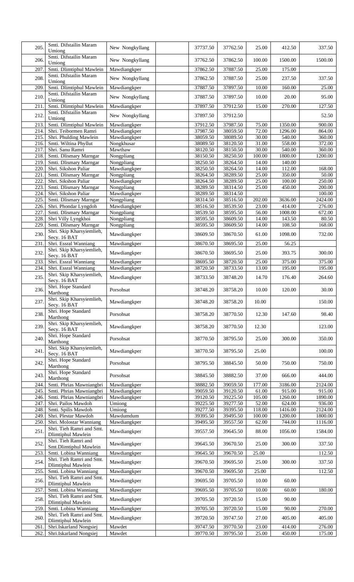| 205.             | Smti. Difstailin Maram<br>Umiong                   | New Nongkyllang              | 37737.50             | 37762.50             | 25.00          | 412.50             | 337.50           |
|------------------|----------------------------------------------------|------------------------------|----------------------|----------------------|----------------|--------------------|------------------|
| 206.             | Smti. Difstailin Maram<br>Umiong                   | New Nongkyllang              | 37762.50             | 37862.50             | 100.00         | 1500.00            | 1500.00          |
| 207              | Smti. Dlimtiphul Mawlein                           | Mawdiangkper                 | 37862.50             | 37887.50             | 25.00          | 175.00             |                  |
| 208.             | Smti. Difstailin Maram                             | New Nongkyllang              | 37862.50             | 37887.50             | 25.00          | 237.50             | 337.50           |
|                  | Umiong                                             |                              |                      |                      |                |                    |                  |
| 209.             | Smti. Dlimtiphul Mawlein<br>Smti. Difstailin Maram | Mawdiangkper                 | 37887.50             | 37897.50             | 10.00          | 160.00             | 25.00            |
| 210.             | Umiong                                             | New Nongkyllang              | 37887.50             | 37897.50             | 10.00          | 20.00              | 95.00            |
| $\overline{211}$ | Smti. Dlimtiphul Mawlein                           | Mawdiangkper                 | 37897.50             | 37912.50             | 15.00          | 270.00             | 127.50           |
| 212              | Smti. Difstailin Maram                             | New Nongkyllang              | 37897.50             | 37912.50             |                |                    | 52.50            |
|                  | Umiong                                             |                              |                      |                      |                |                    |                  |
| 213.<br>214.     | Smti. Dlimtiphul Mawlein<br>Shri. Teibormen Ramri  | Mawdiangkper<br>Mawdiangkper | 37912.50<br>37987.50 | 37987.50<br>38059.50 | 75.00<br>72.00 | 1350.00<br>1296.00 | 900.00<br>864.00 |
| 215.             | Shri. Phulding Mawlein                             | Mawdiangkper                 | 38059.50             | 38089.50             | 30.00          | 540.00             | 360.00           |
| 216.             | Smti. Wiltina Phyllut                              | Nongkhusar                   | 38089.50             | 38120.50             | 31.00          | 558.00             | 372.00           |
| 217.             | Shri. Sanu Ramri                                   | Mawthaw                      | 38120.50             | 38150.50             | 30.00          | 540.00             | 360.00           |
| 218.             | Smti. Dlismary Marngar                             | Nongpliang                   | 38150.50             | 38250.50             | 100.00         | 1800.00            | 1200.00          |
| 219.             | Smti. Dlismary Marngar                             | Nongpliang                   | 38250.50             | 38264.50             | 14.00          | 140.00             |                  |
| 220              | Shri. Sikshon Paliar                               | Mawdiangkper                 | 38250.50             | 38264.50             | 14.00          | 112.00             | 168.00           |
| 221              | Smti. Dlismary Marngar                             | Nongpliang                   | 38264.50             | 38289.50             | 25.00          | 350.00             | 50.00            |
| 222              | Shri. Sikshon Paliar                               | Mawdiangkper                 | 38264.50             | 38289.50             | 25.00          | 100.00             | 250.00           |
| 223.             | Smti. Dlismary Marngar                             | Nongpliang                   | 38289.50             | 38314.50             | 25.00          | 450.00             | 200.00           |
| 224              | Shri. Sikshon Paliar                               | Mawdiangkper                 | 38289.50             | 38314.50             |                |                    | 100.00           |
| 225.             | Smti. Dlismary Marngar                             | Nongpliang                   | 38314.50             | 38516.50             | 202.00         | 3636.00            | 2424.00          |
| 226.             | Shri. Phondar Lyngdoh                              | Mawdiangkper                 | 38516.50             | 38539.50             | 23.00          | 414.00             | 276.00           |
| 227.             | Smti. Dlismary Marngar                             | Nongpliang                   | 38539.50             | 38595.50             | 56.00          | 1008.00            | 672.00           |
| 228.<br>229.     | Shri Villy Lyngkhoi<br>Smti. Dlismary Marngar      | Nongpliang<br>Nongpliang     | 38595.50<br>38595.50 | 38609.50<br>38609.50 | 14.00<br>14.00 | 143.50<br>108.50   | 80.50<br>168.00  |
| 230.             | Shri. Skip Kharsyiemlieh,                          |                              |                      |                      |                |                    |                  |
|                  | Secy. 16 BAT                                       | Mawdiangkper                 | 38609.50             | 38670.50             | 61.00          | 1098.00            | 732.00           |
| 231              | Shri. Essral Wanniang<br>Shri. Skip Kharsyiemlieh, | Mawdiangkper                 | 38670.50             | 38695.50             | 25.00          | 56.25              |                  |
| 232.             | Secy. 16 BAT                                       | Mawdiangkper                 | 38670.50             | 38695.50             | 25.00          | 393.75             | 300.00           |
| 233.             | Shri. Essral Wanniang                              | Mawdiangkper                 | 38695.50             | 38720.50             | 25.00          | 375.00             | 375.00           |
| 234.             | Shri. Essral Wanniang                              | Mawdiangkper                 | 38720.50             | 38733.50             | 13.00          | 195.00             | 195.00           |
| 235.             | Shri. Skip Kharsyiemlieh,<br>Secy. 16 BAT          | Mawdiangkper                 | 38733.50             | 38748.20             | 14.70          | 176.40             | 264.60           |
| 236.             | Shri. Hope Standard<br>Marthong                    | Porsohsat                    | 38748.20             | 38758.20             | 10.00          | 120.00             | 30.00            |
| 237.             | Shri. Skip Kharsyiemlieh,<br>Secy. 16 BAT          | Mawdiangkper                 | 38748.20             | 38758.20             | 10.00          |                    | 150.00           |
| 238.             | Shri. Hope Standard<br>Marthong                    | Porsohsat                    | 38758.20             | 38770.50             | 12.30          | 147.60             | 98.40            |
| 239.             | Shri. Skip Kharsyiemlieh,<br>Secy. 16 BAT          | Mawdiangkper                 | 38758.20             | 38770.50             | 12.30          |                    | 123.00           |
| 240.             | Shri. Hope Standard<br>Marthong                    | Porsohsat                    | 38770.50             | 38795.50             | 25.00          | 300.00             | 350.00           |
| 241.             | Shri. Skip Kharsyiemlieh,<br>Secy. 16 BAT          | Mawdiangkper                 | 38770.50             | 38795.50             | 25.00          |                    | 100.00           |
| 242.             | Shri. Hope Standard<br>Marthong                    | Porsohsat                    | 38795.50             | 38845.50             | 50.00          | 750.00             | 750.00           |
| 243.             | Shri. Hope Standard                                | Porsohsat                    | 38845.50             | 38882.50             | 37.00          | 666.00             | 444.00           |
| 244              | Marthong<br>Smti. Phrias Mawniangbri               | Mawdiangkper                 | 38882.50             | 39059.50             | 177.00         | 3186.00            | 2124.00          |
| 245.             | Smti. Phrias Mawniangbri                           | Mawdiangkper                 | 39059.50             | 39120.50             | 61.00          | 915.00             | 915.00           |
| 246.             | Smti. Phrias Mawniangbri                           | Mawdiangkper                 | 39120.50             | 39225.50             | 105.00         | 1260.00            | 1890.00          |
| 247.             | Shri. Pailos Mawdoh                                | Umiong                       | 39225.50             | 39277.50             | 52.00          | 624.00             | 936.00           |
| 248.             | Smti. Spilis Mawdoh                                | Umiong                       | 39277.50             | 39395.50             | 118.00         | 1416.00            | 2124.00          |
| 249.             | Shri. Plestar Mawdoh                               | Mawdumdum                    | 39395.50             | 39495.50             | 100.00         | 1200.00            | 1800.00          |
| 250.             | Shri. Molostar Wanniang                            | Mawdiangkper                 | 39495.50             | 39557.50             | 62.00          | 744.00             | 1116.00          |
| 251.             | Shri. Tieh Ramri and Smt.<br>Dlimtiphul Mawlein    | Mawdiangkper                 | 39557.50             | 39645.50             | 88.00          | 1056.00            | 1584.00          |
| 252.             | Shri. Tieh Ramri and<br>Smt.Dlimtiphul Mawlein     | Mawdiangkper                 | 39645.50             | 39670.50             | 25.00          | 300.00             | 337.50           |
| 253.             | Smti. Lobina Wanniang                              | Mawdiangkper                 | 39645.50             | 39670.50             | 25.00          |                    | 112.50           |
| 254.             | Shri. Tieh Ramri and Smt.<br>Dlimtiphul Mawlein    | Mawdiangkper                 | 39670.50             | 39695.50             | 25.00          | 300.00             | 337.50           |
| 255.             | Smti. Lobina Wanniang                              | Mawdiangkper                 | 39670.50             | 39695.50             | 25.00          |                    | 112.50           |
| 256.             | Shri. Tieh Ramri and Smt.<br>Dlimtiphul Mawlein    | Mawdiangkper                 | 39695.50             | 39705.50             | 10.00          | 60.00              |                  |
| 257              | Smti. Lobina Wanniang                              | Mawdiangkper                 | 39695.50             | 39705.50             | 10.00          | 60.00              | 180.00           |
| 258.             | Shri. Tieh Ramri and Smt.                          | Mawdiangkper                 | 39705.50             | 39720.50             | 15.00          | 90.00              |                  |
| 259.             | Dlimtiphul Mawlein<br>Smti. Lobina Wanniang        | Mawdiangkper                 | 39705.50             | 39720.50             | 15.00          | 90.00              | 270.00           |
| 260.             | Shri. Tieh Ramri and Smt.                          | Mawdiangkper                 | 39720.50             | 39747.50             | 27.00          | 405.00             | 405.00           |
|                  | Dlimtiphul Mawlein                                 |                              |                      |                      |                |                    |                  |
| 261              | Shri.Iskarland Nongsiej                            | Mawdet                       | 39747.50             | 39770.50             | 23.00          | 414.00             | 276.00           |
| 262.             | Shri.Iskarland Nongsiej                            | Mawdet                       | 39770.50             | 39795.50             | 25.00          | 450.00             | 175.00           |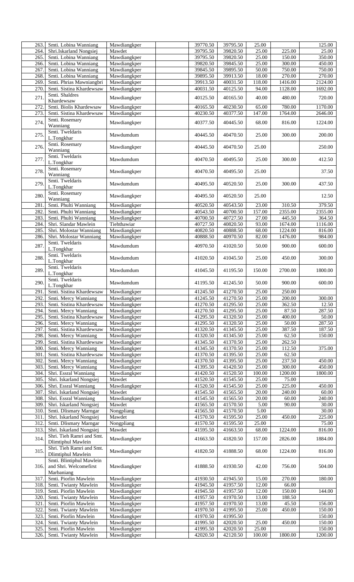| 263          | Smti. Lobina Wanniang                                 | Mawdiangkper                 | 39770.50             | 39795.50             | 25.00           |                  | 125.00           |
|--------------|-------------------------------------------------------|------------------------------|----------------------|----------------------|-----------------|------------------|------------------|
| 264.         | Shri.Iskarland Nongsiej                               | Mawdet                       | 39795.50             | 39820.50             | 25.00           | 225.00           | 25.00            |
| 265          | Smti. Lobina Wanniang                                 | Mawdiangkper                 | 39795.50             | 39820.50             | 25.00           | 150.00           | 350.00           |
| 266.         | Smti. Lobina Wanniang                                 | Mawdiangkper                 | 39820.50             | 39845.50             | 25.00           | 300.00           | 450.00           |
| 267          | Smti. Lobina Wanniang                                 | Mawdiangkper<br>Mawdiangkper | 39845.50<br>39895.50 | 39895.50             | 50.00<br>18.00  | 750.00<br>270.00 | 750.00<br>270.00 |
| 268.<br>269  | Smti. Lobina Wanniang<br>Smti. Phrias Mawniangbri     | Mawdiangkper                 | 39913.50             | 39913.50<br>40031.50 | 118.00          | 1416.00          | 2124.00          |
| 270.         | Smti. Sistina Khardewsaw                              | Mawdiangkper                 | 40031.50             | 40125.50             | 94.00           | 1128.00          | 1692.00          |
|              | Smti. Shaldres                                        |                              |                      |                      |                 |                  |                  |
| 271          | Khardewsaw                                            | Mawdiangkper                 | 40125.50             | 40165.50             | 40.00           | 480.00           | 720.00           |
| 272          | Smti. Biolis Khardewsaw                               | Mawdiangkper                 | 40165.50             | 40230.50             | 65.00           | 780.00           | 1170.00          |
| 273          | Smti. Sistina Khardewsaw                              | Mawdiangkper                 | 40230.50             | 40377.50             | 147.00          | 1764.00          | 2646.00          |
| 274          | Smti. Rosemary<br>Wanniang                            | Mawdiangkper                 | 40377.50             | 40445.50             | 68.00           | 816.00           | 1224.00          |
| 275.         | Smti. Tweldaris<br>L.Tongkhar                         | Mawdumdum                    | 40445.50             | 40470.50             | 25.00           | 300.00           | 200.00           |
| 276.         | Smti. Rosemary<br>Wanniang                            | Mawdiangkper                 | 40445.50             | 40470.50             | 25.00           |                  | 250.00           |
| 277          | Smti. Tweldaris<br>L.Tongkhar                         | Mawdumdum                    | 40470.50             | 40495.50             | 25.00           | 300.00           | 412.50           |
| 278.         | Smti. Rosemary<br>Wanniang                            | Mawdiangkper                 | 40470.50             | 40495.50             | 25.00           |                  | 37.50            |
| 279          | Smti. Tweldaris<br>L.Tongkhar                         | Mawdumdum                    | 40495.50             | 40520.50             | 25.00           | 300.00           | 437.50           |
| 280.         | Smti. Rosemary<br>Wanniang                            | Mawdiangkper                 | 40495.50             | 40520.50             | 25.00           |                  | 12.50            |
| 281          | Smti. Phulti Wanniang                                 | Mawdiangkper                 | 40520.50             | 40543.50             | 23.00           | 310.50           | 379.50           |
| 282          | Smti. Phulti Wanniang                                 | Mawdiangkper                 | 40543.50             | 40700.50             | 157.00          | 2355.00          | 2355.00          |
| 283          | Smti. Phulti Wanniang                                 | Mawdiangkper                 | 40700.50             | 40727.50             | 27.00           | 445.50           | 364.50           |
| 284          | Shri. Slandar Mawlein                                 | Tiehthawiar                  | 40727.50             | 40820.50             | 93.00           | 1674.00          | 1116.00          |
| 285          | Shri. Molostar Wanniang                               | Mawdiangkper                 | 40820.50             | 40888.50             | 68.00           | 1224.00          | 816.00           |
| 286.         | Shri. Molostar Wanniang<br>Smti. Tweldaris            | Mawdiangkper                 | 40888.50             | 40970.50             | 82.00           | 1476.00          | 984.00           |
| 287          | L.Tongkhar<br>Smti. Tweldaris                         | Mawdumdum                    | 40970.50             | 41020.50             | 50.00           | 900.00           | 600.00           |
| 288          | L.Tongkhar<br>Smti. Tweldaris                         | Mawdumdum                    | 41020.50             | 41045.50             | 25.00           | 450.00           | 300.00           |
| 289          | L.Tongkhar<br>Smti. Tweldaris                         | Mawdumdum                    | 41045.50             | 41195.50             | 150.00          | 2700.00          | 1800.00          |
| 290.<br>291  | L.Tongkhar<br>Smti. Sistina Khardewsaw                | Mawdumdum<br>Mawdiangkper    | 41195.50<br>41245.50 | 41245.50<br>41270.50 | 50.00<br>25.00  | 900.00<br>250.00 | 600.00           |
| 292.         | Smti. Mercy Wanniang                                  |                              | 41245.50             | 41270.50             | 25.00           | 200.00           | 300.00           |
| 293.         | Smti. Sistina Khardewsaw                              | Mawdiangkper<br>Mawdiangkper | 41270.50             | 41295.50             | 25.00           | 362.50           | 12.50            |
| 294          | Smti. Mercy Wanniang                                  | Mawdiangkper                 | 41270.50             | 41295.50             | 25.00           | 87.50            | 287.50           |
| 295.         | Smti. Sistina Khardewsaw                              | Mawdiangkper                 | 41295.50             | 41320.50             | 25.00           | 400.00           | 50.00            |
| 296.         | Smti. Mercy Wanniang                                  | Mawdiangkper                 | 41295.50             | 41320.50             | 25.00           | 50.00            | 287.50           |
| 297          | Smti. Sistina Khardewsaw                              | Mawdiangkper                 | 41320.50             | 41345.50             | 25.00           | 387.50           | 187.50           |
| 298.         | Smti. Mercy Wanniang                                  | Mawdiangkper                 | 41320.50             | 41345.50             | 25.00           | 62.50            | 150.00           |
| 299.         | Smti. Sistina Khardewsaw                              | Mawdiangkper                 | 41345.50             | 41370.50             | 25.00           | 262.50           |                  |
| 300.         | Smti. Mercy Wanniang                                  | Mawdiangkper                 | 41345.50             | 41370.50             | 25.00           | 112.50           | 375.00           |
| 301          | Smti. Sistina Khardewsaw                              | Mawdiangkper                 | 41370.50             | 41395.50             | 25.00           | 62.50            |                  |
| 302.         | Smti. Mercy Wanniang                                  | Mawdiangkper                 | 41370.50             | 41395.50             | 25.00           | 237.50           | 450.00           |
| 303.         | Smti. Mercy Wanniang                                  | Mawdiangkper                 | 41395.50             | 41420.50             | 25.00           | 300.00           | 450.00           |
| 304.         | Shri. Essral Wanniang                                 | Mawdiangkper                 | 41420.50             | 41520.50             | 100.00          | 1200.00          | 1800.00          |
| 305.         | Shri. Iskarland Nongsiej                              | Mawdet                       | 41520.50             | 41545.50             | 25.00           | 75.00            |                  |
| 306.         | Shri. Essral Wanniang                                 | Mawdiangkper                 | 41520.50             | 41545.50             | 25.00           | 225.00           | 450.00           |
| 307          | Shri. Iskarland Nongsiej                              | Mawdet                       | 41545.50             | 41565.50             | 20.00           | 240.00           | 60.00            |
| 308.         | Shri. Essral Wanniang                                 | Mawdiangkper                 | 41545.50             | 41565.50             | 20.00           | 60.00            | 240.00           |
| 309          | Shri. Iskarland Nongsiej                              | Mawdet                       | 41565.50             | 41570.50             | 5.00            | 90.00            | 30.00            |
| 310.         | Smti. Dlismary Marngar                                | Nongpliang                   | 41565.50             | 41570.50             | 5.00            |                  | 30.00            |
| 311<br>312   | Shri. Iskarland Nongsiej                              | Mawdet                       | 41570.50             | 41595.50             | 25.00           | 450.00           | 225.00           |
| 313.         | Smti. Dlismary Marngar<br>Shri. Iskarland Nongsiej    | Nongpliang<br>Mawdet         | 41570.50<br>41595.50 | 41595.50<br>41663.50 | 25.00<br>68.00  | 1224.00          | 75.00<br>816.00  |
|              | Shri. Tieh Ramri and Smt.                             |                              |                      |                      |                 |                  |                  |
| 314.         | Dlimtiphul Mawlein<br>Shri. Tieh Ramri and Smt.       | Mawdiangkper                 | 41663.50             | 41820.50             | 157.00          | 2826.00          | 1884.00          |
| 315.         | <b>Dlimtiphul Mawlein</b><br>Smti. Blintiphul Mawlein | Mawdiangkper                 | 41820.50             | 41888.50             | 68.00           | 1224.00          | 816.00           |
| 316.         | and Shri. Welcomefirst<br>Marbaniang                  | Mawdiangkper                 | 41888.50             | 41930.50             | 42.00           | 756.00           | 504.00           |
| 317          | Smti. Piorlin Mawlein                                 | Mawdiangkper                 | 41930.50             | 41945.50             | 15.00           | 270.00           | 180.00           |
| 318.         | Smti. Twianty Mawlein                                 | Mawdiangkper                 | 41945.50             | 41957.50             | 12.00           | 66.00            |                  |
| 319          | Smti. Piorlin Mawlein                                 | Mawdiangkper                 | 41945.50             | 41957.50             | 12.00           | 150.00           | 144.00           |
| 320.         | Smti. Twianty Mawlein                                 | Mawdiangkper                 | 41957.50             | 41970.50             | 13.00           | 188.50           |                  |
| 321          | Smti. Piorlin Mawlein                                 | Mawdiangkper                 | 41957.50             | 41970.50             | 13.00           | 45.50            | 156.00           |
| 322          | Smti. Twianty Mawlein                                 | Mawdiangkper                 | 41970.50             | 41995.50             | 25.00           | 450.00           | 150.00           |
| 323.         | Smti. Piorlin Mawlein                                 | Mawdiangkper                 | 41970.50             | 41995.50             |                 |                  | 150.00           |
| 324.<br>325. | Smti. Twianty Mawlein<br>Smti. Piorlin Mawlein        | Mawdiangkper                 | 41995.50<br>41995.50 | 42020.50             | 25.00           | 450.00           | 150.00<br>150.00 |
| 326.         | Smti. Twianty Mawlein                                 | Mawdiangkper<br>Mawdiangkper | 42020.50             | 42020.50<br>42120.50 | 25.00<br>100.00 | 1800.00          | 1200.00          |
|              |                                                       |                              |                      |                      |                 |                  |                  |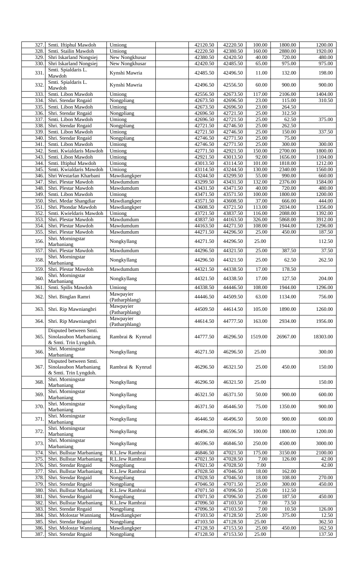| 327              | Smti. Iftiphul Mawdoh     | Umiong           | 42120.50 | 42220.50 | 100.00  | 1800.00  | 1200.00            |
|------------------|---------------------------|------------------|----------|----------|---------|----------|--------------------|
| 328.             | Smti. Stailin Mawdoh      | Umiong           | 42220.50 | 42380.50 | 160.00  | 2880.00  | 1920.00            |
| 329.             | Shri Iskarland Nongsiej   | New Nongkhusar   | 42380.50 | 42420.50 | 40.00   | 720.00   | 480.00             |
| 330.             | Shri Iskarland Nongsiej   | New Nongkhusar   | 42420.50 | 42485.50 | 65.00   | 975.00   | 975.00             |
|                  | Smti. Spialdaris L.       |                  |          |          |         |          |                    |
| 331.             | Mawdoh                    | Kynshi Mawria    | 42485.50 | 42496.50 | 11.00   | 132.00   | 198.00             |
|                  | Smti. Spialdaris L.       |                  |          |          |         |          |                    |
| 332              | Mawdoh                    | Kynshi Mawria    | 42496.50 | 42556.50 | 60.00   | 900.00   | 900.00             |
|                  |                           |                  |          |          |         |          |                    |
| 333              | Smti. Libon Mawdoh        | Umiong           | 42556.50 | 42673.50 | 117.00  | 2106.00  | 1404.00            |
| 334.             | Shri. Stendar Rngaid      | Nongpliang       | 42673.50 | 42696.50 | 23.00   | 115.00   | 310.50             |
| 335.             | Smti. Libon Mawdoh        | Umiong           | 42673.50 | 42696.50 | 23.00   | 264.50   |                    |
| 336.             | Shri. Stendar Rngaid      | Nongpliang       | 42696.50 | 42721.50 | 25.00   | 312.50   |                    |
| 337              | Smti. Libon Mawdoh        | Umiong           | 42696.50 | 42721.50 | 25.00   | 62.50    | 375.00             |
| 338.             | Shri. Stendar Rngaid      | Nongpliang       | 42721.50 | 42746.50 | 25.00   | 262.50   |                    |
| 339.             | Smti. Libon Mawdoh        | Umiong           | 42721.50 | 42746.50 | 25.00   | 150.00   | 337.50             |
| $\overline{340}$ | Shri. Stendar Rngaid      | Nongpliang       | 42746.50 | 42771.50 | 25.00   | 75.00    |                    |
| 341              | Smti. Libon Mawdoh        | Umiong           | 42746.50 | 42771.50 | 25.00   | 300.00   | 300.00             |
| 342              | Smti. Kwialdaris Mawdoh   | Umiong           | 42771.50 | 42921.50 | 150.00  | 2700.00  | 1800.00            |
| 343.             | Smti. Libon Mawdoh        | Umiong           | 42921.50 | 43013.50 | 92.00   | 1656.00  | 1104.00            |
|                  |                           |                  |          |          |         |          |                    |
| 344.             | Smti. Iftiphul Mawdoh     | Umiong           | 43013.50 | 43114.50 | 101.00  | 1818.00  | 1212.00            |
| 345              | Smti. Kwialdaris Mawdoh   | Umiong           | 43114.50 | 43244.50 | 130.00  | 2340.00  | 1560.00            |
| 346.             | Shri Westarlan Kharbani   | Mawdiangkper     | 43244.50 | 43299.50 | 55.00   | 990.00   | 660.00             |
| 347.             | Shri. Plestar Mawdoh      | Mawdumdum        | 43299.50 | 43431.50 | 132.00  | 2376.00  | 1584.00            |
| 348.             | Shri. Plestar Mawdoh      | Mawdumdum        | 43431.50 | 43471.50 | 40.00   | 720.00   | 480.00             |
| 349.             | Smti. Libon Mawdoh        | Umiong           | 43471.50 | 43571.50 | 100.00  | 1800.00  | 1200.00            |
| 350.             | Shri. Medar Shangdiar     | Mawdiangkper     | 43571.50 | 43608.50 | 37.00   | 666.00   | 444.00             |
| 351              | Shri. Phondar Mawdoh      | Mawdiangkper     | 43608.50 | 43721.50 | 113.00  | 2034.00  | 1356.00            |
| 352              | Smti. Kwieldaris Mawdoh   | Umiong           | 43721.50 | 43837.50 | 116.00  | 2088.00  | 1392.00            |
| 353.             | Shri. Plestar Mawdoh      | Mawdumdum        | 43837.50 | 44163.50 | 326.00  | 5868.00  | 3912.00            |
| 354.             | Shri. Plestar Mawdoh      | Mawdumdum        | 44163.50 | 44271.50 | 108.00  | 1944.00  | 1296.00            |
|                  |                           |                  |          |          |         |          | 187.50             |
| 355.             | Shri. Plestar Mawdoh      | Mawdumdum        | 44271.50 | 44296.50 | 25.00   | 450.00   |                    |
| 356.             | Shri. Morningstar         | Nongkyllang      | 44271.50 | 44296.50 | 25.00   |          | 112.50             |
|                  | Marbaniang                |                  |          |          |         |          |                    |
| 357              | Shri. Plestar Mawdoh      | Mawdumdum        | 44296.50 | 44321.50 | 25.00   | 387.50   | 37.50              |
| 358.             | Shri. Morningstar         | Nongkyllang      | 44296.50 | 44321.50 | 25.00   | 62.50    | 262.50             |
|                  | Marbaniang                |                  |          |          |         |          |                    |
| 359              | Shri. Plestar Mawdoh      | Mawdumdum        | 44321.50 | 44338.50 | 17.00   | 178.50   |                    |
| 360              | Shri. Morningstar         |                  | 44321.50 | 44338.50 | 17.00   | 127.50   | 204.00             |
|                  | Marbaniang                | Nongkyllang      |          |          |         |          |                    |
| 361              | Smti. Spilis Mawdoh       | Umiong           | 44338.50 | 44446.50 | 108.00  | 1944.00  | 1296.00            |
|                  |                           | Mawpayier        |          |          |         |          |                    |
| 362.             | Shri. Binglan Ramri       | (Patharphlang)   | 44446.50 | 44509.50 | 63.00   | 1134.00  | 756.00             |
|                  |                           | Mawpayier        |          |          |         |          |                    |
| 363.             | Shri. Rip Mawniangbri     | (Patharphlang)   | 44509.50 | 44614.50 | 105.00  | 1890.00  | 1260.00            |
|                  |                           | Mawpayier        |          |          |         |          |                    |
| 364.             | Shri. Rip Mawniangbri     | (Patharphlang)   | 44614.50 | 44777.50 | 163.00  | 2934.00  | 1956.00            |
|                  | Disputed between Smti.    |                  |          |          |         |          |                    |
|                  |                           |                  |          |          |         |          |                    |
| 365.             | Sinolasubon Marbaniang    | Rambrai & Kynrud | 44777.50 | 46296.50 | 1519.00 | 26967.00 | 18303.00           |
|                  | & Smti. Trin Lyngdoh.     |                  |          |          |         |          |                    |
| 366.             | Shri. Morningstar         | Nongkyllang      | 46271.50 | 46296.50 | 25.00   |          | 300.00             |
|                  | Marbaniang                |                  |          |          |         |          |                    |
|                  | Disputed between Smti.    |                  |          |          |         |          |                    |
| 367.             | Sinolasubon Marbaniang    | Rambrai & Kynrud | 46296.50 | 46321.50 | 25.00   | 450.00   | 150.00             |
|                  | & Smti. Trin Lyngdoh.     |                  |          |          |         |          |                    |
|                  | Shri. Morningstar         |                  |          |          |         |          |                    |
| 368.             | Marbaniang                | Nongkyllang      | 46296.50 | 46321.50 | 25.00   |          | 150.00             |
|                  | Shri. Morningstar         |                  |          |          |         |          |                    |
| 369.             | Marbaniang                | Nongkyllang      | 46321.50 | 46371.50 | 50.00   | 900.00   | 600.00             |
|                  | Shri. Morningstar         |                  |          |          |         |          |                    |
| 370.             | Marbaniang                | Nongkyllang      | 46371.50 | 46446.50 | 75.00   | 1350.00  | 900.00             |
|                  | Shri. Morningstar         |                  |          |          |         |          |                    |
| 371.             | Marbaniang                | Nongkyllang      | 46446.50 | 46496.50 | 50.00   | 900.00   | 600.00             |
|                  | Shri. Morningstar         |                  |          |          |         |          |                    |
| 372              | Marbaniang                | Nongkyllang      | 46496.50 | 46596.50 | 100.00  | 1800.00  | 1200.00            |
|                  |                           |                  |          |          |         |          |                    |
| 373.             | Shri. Morningstar         | Nongkyllang      | 46596.50 | 46846.50 | 250.00  | 4500.00  | 3000.00            |
|                  | Marbaniang                |                  |          |          |         |          |                    |
| 374              | Shri. Bullstar Marbaniang | R.L.Iew Rambrai  | 46846.50 | 47021.50 | 175.00  | 3150.00  | 2100.00            |
| 375.             | Shri. Bullstar Marbaniang | R.L.Iew Rambrai  | 47021.50 | 47028.50 | 7.00    | 126.00   | $\overline{42.00}$ |
| 376.             | Shri. Stendar Rngaid      | Nongpliang       | 47021.50 | 47028.50 | 7.00    |          | 42.00              |
| 377              | Shri. Bullstar Marbaniang | R.L.Iew Rambrai  | 47028.50 | 47046.50 | 18.00   | 162.00   |                    |
| 378.             | Shri. Stendar Rngaid      | Nongpliang       | 47028.50 | 47046.50 | 18.00   | 108.00   | 270.00             |
| 379              | Shri. Stendar Rngaid      | Nongpliang       | 47046.50 | 47071.50 | 25.00   | 300.00   | 450.00             |
| 380.             | Shri. Bullstar Marbaniang | R.L.Iew Rambrai  | 47071.50 | 47096.50 | 25.00   | 112.50   |                    |
| 381              | Shri. Stendar Rngaid      | Nongpliang       | 47071.50 | 47096.50 | 25.00   | 187.50   | 450.00             |
| 382.             | Shri. Bullstar Marbaniang | R.L.Iew Rambrai  | 47096.50 | 47103.50 | 7.00    | 73.50    |                    |
| 383.             | Shri. Stendar Rngaid      | Nongpliang       | 47096.50 | 47103.50 | 7.00    | 10.50    | 126.00             |
| 384.             |                           | Mawdiangkper     | 47103.50 |          | 25.00   |          | 12.50              |
|                  | Shri. Molostar Wanniang   |                  |          | 47128.50 |         | 375.00   |                    |
| 385.             | Shri. Stendar Rngaid      | Nongpliang       | 47103.50 | 47128.50 | 25.00   |          | 362.50             |
| 386<br>387       | Shri. Molostar Wanniang   | Mawdiangkper     | 47128.50 | 47153.50 | 25.00   | 450.00   | 162.50             |
|                  | Shri. Stendar Rngaid      | Nongpliang       | 47128.50 | 47153.50 | 25.00   |          | 137.50             |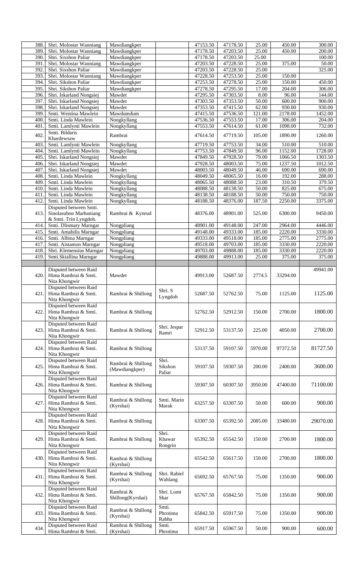| 388  | Shri. Molostar Wanniang                       | Mawdiangkper                    |                   | 47153.50 | 47178.50 | 25.00   | 450.00   | 300.00   |
|------|-----------------------------------------------|---------------------------------|-------------------|----------|----------|---------|----------|----------|
| 389  | Shri. Molostar Wanniang                       | Mawdiangkper                    |                   | 47178.50 | 47203.50 | 25.00   | 450.00   | 200.00   |
|      | Shri. Sixshon Paliar                          |                                 |                   |          |          |         |          |          |
| 390  |                                               | Mawdiangkper                    |                   | 47178.50 | 47203.50 | 25.00   |          | 100.00   |
| 391  | Shri. Molostar Wanniang                       | Mawdiangkper                    |                   | 47203.50 | 47228.50 | 25.00   | 375.00   | 50.00    |
| 392  | Shri. Sixshon Paliar                          | Mawdiangkper                    |                   | 47203.50 | 47228.50 | 25.00   |          | 325.00   |
| 393  | Shri. Molostar Wanniang                       | Mawdiangkper                    |                   | 47228.50 | 47253.50 | 25.00   | 150.00   |          |
| 394  | Shri. Sikshon Paliar                          | Mawdiangkper                    |                   | 47253.50 | 47278.50 | 25.00   | 150.00   | 450.00   |
| 395  | Shri. Sikshon Paliar                          |                                 |                   | 47278.50 | 47295.50 | 17.00   | 204.00   | 306.00   |
|      |                                               | Mawdiangkper                    |                   |          |          |         |          |          |
| 396  | Shri. Iskarland Nongsiej                      | Mawdet                          |                   | 47295.50 | 47303.50 | 8.00    | 96.00    | 144.00   |
| 397  | Shri. Iskarland Nongsiej                      | Mawdet                          |                   | 47303.50 | 47353.50 | 50.00   | 600.00   | 900.00   |
| 398  | Shri. Iskarland Nongsiej                      | Mawdet                          |                   | 47353.50 | 47415.50 | 62.00   | 930.00   | 930.00   |
| 399  |                                               |                                 |                   |          |          |         |          |          |
|      | Smti. Wentina Mawlein                         | Mawdumdum                       |                   | 47415.50 | 47536.50 | 121.00  | 2178.00  | 1452.00  |
| 400  | Smti. Linda Mawlein                           | Nongkyllang                     |                   | 47536.50 | 47553.50 | 17.00   | 306.00   | 204.00   |
| 401  | Smti. Lamlynti Mawlein                        | Nongkyllang                     |                   | 47553.50 | 47614.50 | 61.00   | 1098.00  | 732.00   |
|      | Smti. Bildaris                                |                                 |                   |          |          |         |          |          |
| 402  | Khardewsaw                                    | Rambrai                         |                   | 47614.50 | 47719.50 | 105.00  | 1890.00  | 1260.00  |
|      |                                               |                                 |                   |          |          |         |          |          |
| 403  | Smti. Lamlynti Mawlein                        | Nongkyllang                     |                   | 47719.50 | 47753.50 | 34.00   | 510.00   | 510.00   |
| 404  | Smti. Lamlynti Mawlein                        | Nongkyllang                     |                   | 47753.50 | 47849.50 | 96.00   | 1152.00  | 1728.00  |
| 405  | Shri. Iskarland Nongsiej                      | Mawdet                          |                   | 47849.50 | 47928.50 | 79.00   | 1066.50  | 1303.50  |
|      |                                               |                                 |                   |          | 48003.50 | 75.00   | 1237.50  |          |
| 406  | Shri. Iskarland Nongsiej                      | Mawdet                          |                   | 47928.50 |          |         |          | 1012.50  |
| 407  | Shri. Iskarland Nongsiej                      | Mawdet                          |                   | 48003.50 | 48049.50 | 46.00   | 690.00   | 690.00   |
| 408  | Smti. Linda Mawlein                           | Nongkyllang                     |                   | 48049.50 | 48065.50 | 16.00   | 192.00   | 288.00   |
| 409  | Smti. Linda Mawlein                           | Nongkyllang                     |                   | 48065.50 | 48088.50 | 23.00   | 310.50   | 379.50   |
|      |                                               |                                 |                   |          |          |         | 825.00   | 675.00   |
| 410  | Smti. Linda Mawlein                           | Nongkyllang                     |                   | 48088.50 | 48138.50 | 50.00   |          |          |
| 411  | Smti. Linda Mawlein                           | Nongkyllang                     |                   | 48138.50 | 48188.50 | 50.00   | 750.00   | 750.00   |
| 412  | Smti. Linda Mawlein                           | Nongkyllang                     |                   | 48188.50 | 48376.00 | 187.50  | 2250.00  | 3375.00  |
|      | Disputed between Smti.                        |                                 |                   |          |          |         |          |          |
|      |                                               |                                 |                   |          |          |         |          |          |
| 413. | Sinolasubon Marbaniang                        | Rambrai & Kynrud                |                   | 48376.00 | 48901.00 | 525.00  | 6300.00  | 9450.00  |
|      | & Smti. Trin Lyngdoh.                         |                                 |                   |          |          |         |          |          |
| 414  | Smti. Dlismary Marngar                        | Nongpliang                      |                   | 48901.00 | 49148.00 | 247.00  | 2964.00  | 4446.00  |
| 415  | Smti. Amabilis Marngar                        | Nongpliang                      |                   | 49148.00 | 49333.00 | 185.00  | 2220.00  | 3330.00  |
|      |                                               |                                 |                   |          |          |         |          |          |
| 416. | Smti. Albina Marngar                          | Nongpliang                      |                   | 49333.00 | 49518.00 | 185.00  | 2775.00  | 2775.00  |
| 417  | Smti. Aistamon Marngar                        | Nongpliang                      |                   | 49518.00 | 49703.00 | 185.00  | 3330.00  | 2220.00  |
| 418  | Shri. Klemensius Marngar                      | Nongpliang                      |                   | 49703.00 | 49888.00 | 185.00  | 3330.00  | 2220.00  |
| 419  | Smti.Skiallina Marngar                        | Nongpliang                      |                   | 49888.00 | 49913.00 | 25.00   | 375.00   | 375.00   |
|      |                                               |                                 |                   |          |          |         |          |          |
|      |                                               |                                 |                   |          |          |         |          |          |
|      | Disputed between Raid                         |                                 |                   |          |          |         |          | 49941.00 |
| 420. | Hima Rambrai & Smti.                          | Mawdet                          |                   | 49913.00 | 52687.50 | 2774.5  | 33294.00 |          |
|      | Nita Khongwir                                 |                                 |                   |          |          |         |          |          |
|      |                                               |                                 |                   |          |          |         |          |          |
|      | Disputed between Raid                         |                                 | Shri. S           |          |          |         |          |          |
| 421. | Hima Rambrai & Smti.                          | Rambrai & Shillong              | Lyngdoh           | 52687.50 | 52762.50 | 75.00   | 1125.00  | 1125.00  |
|      | Nita Khongwir                                 |                                 |                   |          |          |         |          |          |
|      | Disputed between Raid                         |                                 |                   |          |          |         |          |          |
|      |                                               |                                 |                   |          |          |         |          |          |
| 422. | Hima Rambrai & Smti.                          | Rambrai & Shillong              |                   | 52762.50 | 52912.50 | 150.00  | 2700.00  | 1800.00  |
|      | Nita Khongwir                                 |                                 |                   |          |          |         |          |          |
|      | Disputed between Raid                         |                                 |                   |          |          |         |          |          |
| 423. | Hima Rambrai & Smti.                          | Rambrai & Shillong              | Shri. Jespar      | 52912.50 | 53137.50 | 225.00  | 4050.00  | 2700.00  |
|      |                                               |                                 | Ramri             |          |          |         |          |          |
|      | Nita Khongwir                                 |                                 |                   |          |          |         |          |          |
|      | Disputed between Raid                         |                                 |                   |          |          |         |          |          |
| 424. | Hima Rambrai & Smti.                          | Rambrai & Shillong              |                   | 53137.50 | 59107.50 | 5970.00 | 97372.50 | 81727.50 |
|      | Nita Khongwir                                 |                                 |                   |          |          |         |          |          |
|      |                                               |                                 |                   |          |          |         |          |          |
|      | Disputed between Raid                         | Rambrai & Shillong              | Shri.             |          |          |         |          |          |
| 425. | Hima Rambrai & Smti.                          | (Mawdiangkper)                  | Sikshon           | 59107.50 | 59307.50 | 200.00  | 2400.00  | 3600.00  |
|      | Nita Khongwir                                 |                                 | Paliar            |          |          |         |          |          |
|      | Disputed between Raid                         |                                 |                   |          |          |         |          |          |
|      |                                               |                                 |                   |          |          |         |          |          |
| 426. | Hima Rambrai & Smti.                          | Rambrai & Shillong              |                   | 59307.50 | 60307.50 | 3950.00 | 47400.00 | 71100.00 |
|      | Nita Khongwir                                 |                                 |                   |          |          |         |          |          |
|      | Disputed between Raid                         |                                 |                   |          |          |         |          |          |
| 427. | Hima Rambrai & Smti.                          | Rambrai & Shillong              | Smti. Marin       | 63257.50 | 63307.50 | 50.00   | 600.00   | 900.00   |
|      |                                               | (Kyrshai)                       | Marak             |          |          |         |          |          |
|      | Nita Khongwir                                 |                                 |                   |          |          |         |          |          |
|      | Disputed between Raid                         |                                 |                   |          |          |         |          |          |
| 428. | Hima Rambrai & Smti.                          | Rambrai & Shillong              |                   | 63307.50 | 65392.50 | 2085.00 | 33480.00 | 29070.00 |
|      | Nita Khongwir                                 |                                 |                   |          |          |         |          |          |
|      | Disputed between Raid                         |                                 | Shri.             |          |          |         |          |          |
|      |                                               |                                 |                   |          |          |         |          |          |
| 429. | Hima Rambrai & Smti.                          | Rambrai & Shillong              | Khawar            | 65392.50 | 65542.50 | 150.00  | 2700.00  | 1800.00  |
|      | Nita Khongwir                                 |                                 | Rongrin           |          |          |         |          |          |
|      | Disputed between Raid                         |                                 |                   |          |          |         |          |          |
| 430. | Hima Rambrai & Smti.                          |                                 |                   |          |          | 150.00  | 2700.00  |          |
|      |                                               | Rambrai & Shillong              |                   | 65542.50 | 65617.50 |         |          | 1800.00  |
|      | Nita Khongwir                                 | (Kyrshai)                       |                   |          |          |         |          |          |
|      | Disputed between Raid                         |                                 |                   |          |          |         |          |          |
| 431. | Hima Rambrai & Smti.                          | Rambrai & Shillong              | Shri. Rabiel      | 65692.50 | 65767.50 | 75.00   | 1350.00  | 900.00   |
|      | Nita Khongwir                                 | (Kyrshai)                       | Wahlang           |          |          |         |          |          |
|      |                                               |                                 |                   |          |          |         |          |          |
|      | Disputed between Raid                         | Rambrai &                       | Shri. Lomi        |          |          |         |          |          |
| 432. | Hima Rambrai & Smti.                          |                                 | Shar              | 65767.50 | 65842.50 | 75.00   | 1350.00  | 900.00   |
|      | Nita Khongwir                                 | Shillong(Kyrshai)               |                   |          |          |         |          |          |
|      | Disputed between Raid                         |                                 | Smti.             |          |          |         |          |          |
| 433. |                                               | Rambrai & Shillong              |                   |          |          |         |          |          |
|      |                                               |                                 |                   |          |          |         |          |          |
|      | Hima Rambrai & Smti.                          |                                 | Phrotima          | 65842.50 | 65917.50 | 75.00   | 1350.00  | 900.00   |
|      | Nita Khongwir                                 | (Kyrshai)                       | Rabha             |          |          |         |          |          |
|      |                                               |                                 |                   |          |          |         |          |          |
| 434. | Disputed between Raid<br>Hima Rambrai & Smti. | Rambrai & Shillong<br>(Kyrshai) | Smti.<br>Phrotima | 65917.50 | 65967.50 | 50.00   | 900.00   | 600.00   |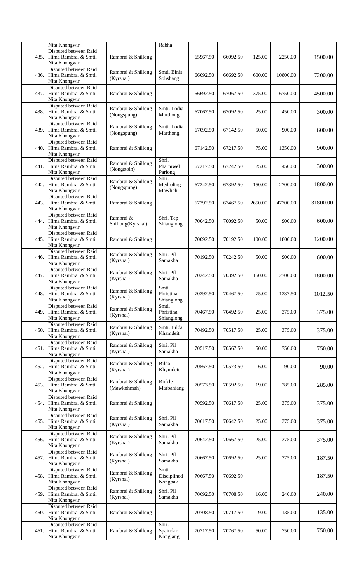|      | Nita Khongwir                                                  |                                   | Rabha                            |          |          |         |          |          |
|------|----------------------------------------------------------------|-----------------------------------|----------------------------------|----------|----------|---------|----------|----------|
| 435. | Disputed between Raid<br>Hima Rambrai & Smti.<br>Nita Khongwir | Rambrai & Shillong                |                                  | 65967.50 | 66092.50 | 125.00  | 2250.00  | 1500.00  |
| 436. | Disputed between Raid<br>Hima Rambrai & Smti.<br>Nita Khongwir | Rambrai & Shillong<br>(Kyrshai)   | Smti. Binis<br>Sohshang          | 66092.50 | 66692.50 | 600.00  | 10800.00 | 7200.00  |
| 437. | Disputed between Raid<br>Hima Rambrai & Smti.<br>Nita Khongwir | Rambrai & Shillong                |                                  | 66692.50 | 67067.50 | 375.00  | 6750.00  | 4500.00  |
| 438. | Disputed between Raid<br>Hima Rambrai & Smti.<br>Nita Khongwir | Rambrai & Shillong<br>(Nongspung) | Smti. Lodia<br>Marthong          | 67067.50 | 67092.50 | 25.00   | 450.00   | 300.00   |
| 439. | Disputed between Raid<br>Hima Rambrai & Smti.<br>Nita Khongwir | Rambrai & Shillong<br>(Nongspung) | Smti. Lodia<br>Marthong          | 67092.50 | 67142.50 | 50.00   | 900.00   | 600.00   |
| 440. | Disputed between Raid<br>Hima Rambrai & Smti.<br>Nita Khongwir | Rambrai & Shillong                |                                  | 67142.50 | 67217.50 | 75.00   | 1350.00  | 900.00   |
| 441. | Disputed between Raid<br>Hima Rambrai & Smti.<br>Nita Khongwir | Rambrai & Shillong<br>(Nongstoin) | Shri.<br>Pharniwel<br>Pariong    | 67217.50 | 67242.50 | 25.00   | 450.00   | 300.00   |
| 442. | Disputed between Raid<br>Hima Rambrai & Smti.<br>Nita Khongwir | Rambrai & Shillong<br>(Nongspung) | Shri.<br>Medroling<br>Mawlieh    | 67242.50 | 67392.50 | 150.00  | 2700.00  | 1800.00  |
| 443. | Disputed between Raid<br>Hima Rambrai & Smti.<br>Nita Khongwir | Rambrai & Shillong                |                                  | 67392.50 | 67467.50 | 2650.00 | 47700.00 | 31800.00 |
| 444. | Disputed between Raid<br>Hima Rambrai & Smti.<br>Nita Khongwir | Rambrai &<br>Shillong(Kyrshai)    | Shri. Tep<br>Shianglong          | 70042.50 | 70092.50 | 50.00   | 900.00   | 600.00   |
| 445. | Disputed between Raid<br>Hima Rambrai & Smti.<br>Nita Khongwir | Rambrai & Shillong                |                                  | 70092.50 | 70192.50 | 100.00  | 1800.00  | 1200.00  |
| 446. | Disputed between Raid<br>Hima Rambrai & Smti.<br>Nita Khongwir | Rambrai & Shillong<br>(Kyrshai)   | Shri. Pil<br>Samakha             | 70192.50 | 70242.50 | 50.00   | 900.00   | 600.00   |
| 447. | Disputed between Raid<br>Hima Rambrai & Smti.<br>Nita Khongwir | Rambrai & Shillong<br>(Kyrshai)   | Shri. Pil<br>Samakha             | 70242.50 | 70392.50 | 150.00  | 2700.00  | 1800.00  |
| 448. | Disputed between Raid<br>Hima Rambrai & Smti.<br>Nita Khongwir | Rambrai & Shillong<br>(Kyrshai)   | Smti.<br>Phristina<br>Shianglong | 70392.50 | 70467.50 | 75.00   | 1237.50  | 1012.50  |
| 449. | Disputed between Raid<br>Hima Rambrai & Smti.<br>Nita Khongwir | Rambrai & Shillong<br>(Kyrshai)   | Smti.<br>Phristina<br>Shianglong | 70467.50 | 70492.50 | 25.00   | 375.00   | 375.00   |
| 450. | Disputed between Raid<br>Hima Rambrai & Smti.<br>Nita Khongwir | Rambrai & Shillong<br>(Kyrshai)   | Smti. Bilda<br>Khamdeit          | 70492.50 | 70517.50 | 25.00   | 375.00   | 375.00   |
| 451. | Disputed between Raid<br>Hima Rambrai & Smti.<br>Nita Khongwir | Rambrai & Shillong<br>(Kyrshai)   | Shri. Pil<br>Samakha             | 70517.50 | 70567.50 | 50.00   | 750.00   | 750.00   |
| 452. | Disputed between Raid<br>Hima Rambrai & Smti.<br>Nita Khongwir | Rambrai & Shillong<br>(Kyrshai)   | Bilda<br>Khymdeit                | 70567.50 | 70573.50 | 6.00    | 90.00    | 90.00    |
| 453. | Disputed between Raid<br>Hima Rambrai & Smti.<br>Nita Khongwir | Rambrai & Shillong<br>(Mawkohmah) | Rinkle<br>Marbaniang             | 70573.50 | 70592.50 | 19.00   | 285.00   | 285.00   |
| 454. | Disputed between Raid<br>Hima Rambrai & Smti.<br>Nita Khongwir | Rambrai & Shillong                |                                  | 70592.50 | 70617.50 | 25.00   | 375.00   | 375.00   |
| 455. | Disputed between Raid<br>Hima Rambrai & Smti.<br>Nita Khongwir | Rambrai & Shillong<br>(Kyrshai)   | Shri. Pil<br>Samakha             | 70617.50 | 70642.50 | 25.00   | 375.00   | 375.00   |
| 456. | Disputed between Raid<br>Hima Rambrai & Smti.<br>Nita Khongwir | Rambrai & Shillong<br>(Kyrshai)   | Shri. Pil<br>Samakha             | 70642.50 | 70667.50 | 25.00   | 375.00   | 375.00   |
| 457. | Disputed between Raid<br>Hima Rambrai & Smti.<br>Nita Khongwir | Rambrai & Shillong<br>(Kyrshai)   | Shri. Pil<br>Samakha             | 70667.50 | 70692.50 | 25.00   | 375.00   | 187.50   |
| 458. | Disputed between Raid<br>Hima Rambrai & Smti.<br>Nita Khongwir | Rambrai & Shillong<br>(Kyrshai)   | Smti.<br>Disciplined<br>Nongbak  | 70667.50 | 70692.50 |         |          | 187.50   |
| 459. | Disputed between Raid<br>Hima Rambrai & Smti.<br>Nita Khongwir | Rambrai & Shillong<br>(Kyrshai)   | Shri. Pil<br>Samakha             | 70692.50 | 70708.50 | 16.00   | 240.00   | 240.00   |
| 460. | Disputed between Raid<br>Hima Rambrai & Smti.<br>Nita Khongwir | Rambrai & Shillong                |                                  | 70708.50 | 70717.50 | 9.00    | 135.00   | 135.00   |
| 461. | Disputed between Raid<br>Hima Rambrai & Smti.<br>Nita Khongwir | Rambrai & Shillong                | Shri.<br>Spaindar<br>Nonglang.   | 70717.50 | 70767.50 | 50.00   | 750.00   | 750.00   |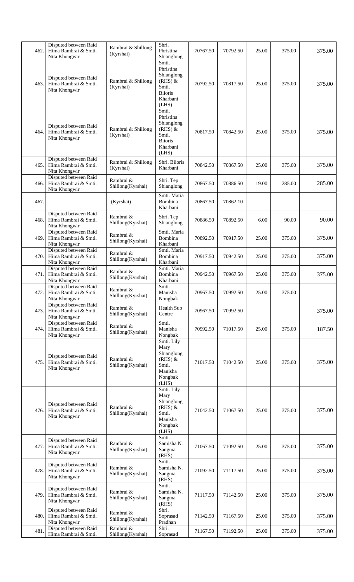| 462. | Disputed between Raid<br>Hima Rambrai & Smti.<br>Nita Khongwir | Rambrai & Shillong<br>(Kyrshai) | Shri.<br>Phristina<br>Shianglong                                                              | 70767.50 | 70792.50 | 25.00 | 375.00 | 375.00 |
|------|----------------------------------------------------------------|---------------------------------|-----------------------------------------------------------------------------------------------|----------|----------|-------|--------|--------|
| 463. | Disputed between Raid<br>Hima Rambrai & Smti.<br>Nita Khongwir | Rambrai & Shillong<br>(Kyrshai) | Smti.<br>Phristina<br>Shianglong<br>$(RHS)$ &<br>Smti.<br><b>Biioris</b><br>Kharbani<br>(LHS) | 70792.50 | 70817.50 | 25.00 | 375.00 | 375.00 |
| 464. | Disputed between Raid<br>Hima Rambrai & Smti.<br>Nita Khongwir | Rambrai & Shillong<br>(Kyrshai) | Smti.<br>Phristina<br>Shianglong<br>$(RHS)$ &<br>Smti.<br><b>Biioris</b><br>Kharbani<br>(LHS) | 70817.50 | 70842.50 | 25.00 | 375.00 | 375.00 |
| 465. | Disputed between Raid<br>Hima Rambrai & Smti.<br>Nita Khongwir | Rambrai & Shillong<br>(Kyrshai) | Shri. Biioris<br>Kharbani                                                                     | 70842.50 | 70867.50 | 25.00 | 375.00 | 375.00 |
| 466. | Disputed between Raid<br>Hima Rambrai & Smti.<br>Nita Khongwir | Rambrai &<br>Shillong(Kyrshai)  | Shri. Tep<br>Shianglong                                                                       | 70867.50 | 70886.50 | 19.00 | 285.00 | 285.00 |
| 467  |                                                                | (Kyrshai)                       | Smti. Maria<br>Bombina<br>Kharbani                                                            | 70867.50 | 70862.10 |       |        |        |
| 468. | Disputed between Raid<br>Hima Rambrai & Smti.<br>Nita Khongwir | Rambrai &<br>Shillong(Kyrshai)  | Shri. Tep<br>Shianglong                                                                       | 70886.50 | 70892.50 | 6.00  | 90.00  | 90.00  |
| 469. | Disputed between Raid<br>Hima Rambrai & Smti.<br>Nita Khongwir | Rambrai &<br>Shillong(Kyrshai)  | Smti. Maria<br>Bombina<br>Kharbani                                                            | 70892.50 | 70917.50 | 25.00 | 375.00 | 375.00 |
| 470. | Disputed between Raid<br>Hima Rambrai & Smti.<br>Nita Khongwir | Rambrai &<br>Shillong(Kyrshai)  | Smti. Maria<br>Bombina<br>Kharbani                                                            | 70917.50 | 70942.50 | 25.00 | 375.00 | 375.00 |
| 471. | Disputed between Raid<br>Hima Rambrai & Smti.<br>Nita Khongwir | Rambrai &<br>Shillong(Kyrshai)  | Smti. Maria<br>Bombina<br>Kharbani                                                            | 70942.50 | 70967.50 | 25.00 | 375.00 | 375.00 |
| 472. | Disputed between Raid<br>Hima Rambrai & Smti.<br>Nita Khongwir | Rambrai &<br>Shillong(Kyrshai)  | Smti.<br>Manisha<br>Nongbak                                                                   | 70967.50 | 70992.50 | 25.00 | 375.00 |        |
| 473. | Disputed between Raid<br>Hima Rambrai & Smti.<br>Nita Khongwir | Rambrai &<br>Shillong(Kyrshai)  | Health Sub<br>Centre                                                                          | 70967.50 | 70992.50 |       |        | 375.00 |
| 474. | Disputed between Raid<br>Hima Rambrai & Smti.<br>Nita Khongwir | Rambrai &<br>Shillong(Kyrshai)  | Smti.<br>Manisha<br>Nongbak                                                                   | 70992.50 | 71017.50 | 25.00 | 375.00 | 187.50 |
| 475. | Disputed between Raid<br>Hima Rambrai & Smti.<br>Nita Khongwir | Rambrai &<br>Shillong(Kyrshai)  | Smti. Lily<br>Mary<br>Shianglong<br>$(RHS)$ &<br>Smti.<br>Manisha<br>Nongbak<br>(LHS)         | 71017.50 | 71042.50 | 25.00 | 375.00 | 375.00 |
| 476. | Disputed between Raid<br>Hima Rambrai & Smti.<br>Nita Khongwir | Rambrai &<br>Shillong(Kyrshai)  | Smti. Lily<br>Mary<br>Shianglong<br>$(RHS)$ &<br>Smti.<br>Manisha<br>Nongbak<br>(LHS)         | 71042.50 | 71067.50 | 25.00 | 375.00 | 375.00 |
| 477. | Disputed between Raid<br>Hima Rambrai & Smti.<br>Nita Khongwir | Rambrai &<br>Shillong(Kyrshai)  | Smti.<br>Samisha N.<br>Sangma<br>(RHS)                                                        | 71067.50 | 71092.50 | 25.00 | 375.00 | 375.00 |
| 478. | Disputed between Raid<br>Hima Rambrai & Smti.<br>Nita Khongwir | Rambrai &<br>Shillong(Kyrshai)  | Smti.<br>Samisha N.<br>Sangma<br>(RHS)                                                        | 71092.50 | 71117.50 | 25.00 | 375.00 | 375.00 |
| 479. | Disputed between Raid<br>Hima Rambrai & Smti.<br>Nita Khongwir | Rambrai &<br>Shillong(Kyrshai)  | Smti.<br>Samisha N.<br>Sangma<br>(RHS)                                                        | 71117.50 | 71142.50 | 25.00 | 375.00 | 375.00 |
| 480. | Disputed between Raid<br>Hima Rambrai & Smti.<br>Nita Khongwir | Rambrai &<br>Shillong(Kyrshai)  | Shri.<br>Soprasad<br>Pradhan                                                                  | 71142.50 | 71167.50 | 25.00 | 375.00 | 375.00 |
| 481  | Disputed between Raid<br>Hima Rambrai & Smti.                  | Rambrai &<br>Shillong(Kyrshai)  | Shri.<br>Soprasad                                                                             | 71167.50 | 71192.50 | 25.00 | 375.00 | 375.00 |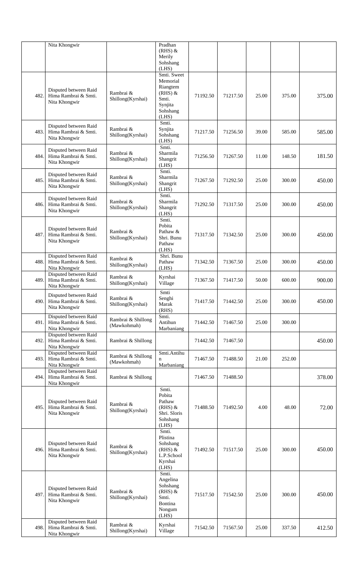|      | Nita Khongwir                                                  |                                   | Pradhan<br>$(RHS)$ &                                                              |          |          |       |        |        |
|------|----------------------------------------------------------------|-----------------------------------|-----------------------------------------------------------------------------------|----------|----------|-------|--------|--------|
|      |                                                                |                                   | Merily<br>Sohshang                                                                |          |          |       |        |        |
|      |                                                                |                                   | (LHS)<br>Smti. Sweet                                                              |          |          |       |        |        |
| 482. | Disputed between Raid<br>Hima Rambrai & Smti.<br>Nita Khongwir | Rambrai &<br>Shillong(Kyrshai)    | Memorial<br>Riangtem<br>$(RHS)$ &<br>Smti.<br>Synjita<br>Sohshang<br>(LHS)        | 71192.50 | 71217.50 | 25.00 | 375.00 | 375.00 |
| 483. | Disputed between Raid<br>Hima Rambrai & Smti.<br>Nita Khongwir | Rambrai &<br>Shillong(Kyrshai)    | Smti.<br>Synjita<br>Sohshang<br>(LHS)                                             | 71217.50 | 71256.50 | 39.00 | 585.00 | 585.00 |
| 484. | Disputed between Raid<br>Hima Rambrai & Smti.<br>Nita Khongwir | Rambrai &<br>Shillong(Kyrshai)    | Smti.<br>Sharmila<br>Shangrit<br>(LHS)                                            | 71256.50 | 71267.50 | 11.00 | 148.50 | 181.50 |
| 485. | Disputed between Raid<br>Hima Rambrai & Smti.<br>Nita Khongwir | Rambrai &<br>Shillong(Kyrshai)    | Smti.<br>Sharmila<br>Shangrit<br>(LHS)                                            | 71267.50 | 71292.50 | 25.00 | 300.00 | 450.00 |
| 486. | Disputed between Raid<br>Hima Rambrai & Smti.<br>Nita Khongwir | Rambrai &<br>Shillong(Kyrshai)    | Smti.<br>Sharmila<br>Shangrit<br>(LHS)                                            | 71292.50 | 71317.50 | 25.00 | 300.00 | 450.00 |
| 487. | Disputed between Raid<br>Hima Rambrai & Smti.<br>Nita Khongwir | Rambrai &<br>Shillong(Kyrshai)    | Smti.<br>Pobita<br>Pathaw &<br>Shri. Bunu<br>Pathaw<br>(LHS)                      | 71317.50 | 71342.50 | 25.00 | 300.00 | 450.00 |
| 488. | Disputed between Raid<br>Hima Rambrai & Smti.<br>Nita Khongwir | Rambrai &<br>Shillong(Kyrshai)    | Shri. Bunu<br>Pathaw<br>(LHS)                                                     | 71342.50 | 71367.50 | 25.00 | 300.00 | 450.00 |
| 489. | Disputed between Raid<br>Hima Rambrai & Smti.<br>Nita Khongwir | Rambrai &<br>Shillong(Kyrshai)    | Kyrshai<br>Village                                                                | 71367.50 | 71417.50 | 50.00 | 600.00 | 900.00 |
| 490. | Disputed between Raid<br>Hima Rambrai & Smti.<br>Nita Khongwir | Rambrai $\&$<br>Shillong(Kyrshai) | Smti<br>Senghi<br>Marak<br>(RHS)                                                  | 71417.50 | 71442.50 | 25.00 | 300.00 | 450.00 |
| 491. | Disputed between Raid<br>Hima Rambrai & Smti.<br>Nita Khongwir | Rambrai & Shillong<br>(Mawkohmah) | Smti.<br>Antihun<br>Marbaniang                                                    | 71442.50 | 71467.50 | 25.00 | 300.00 |        |
| 492. | Disputed between Raid<br>Hima Rambrai & Smti.<br>Nita Khongwir | Rambrai & Shillong                |                                                                                   | 71442.50 | 71467.50 |       |        | 450.00 |
| 493. | Disputed between Raid<br>Hima Rambrai & Smti.<br>Nita Khongwir | Rambrai & Shillong<br>(Mawkohmah) | Smti.Antihu<br>n<br>Marbaniang                                                    | 71467.50 | 71488.50 | 21.00 | 252.00 |        |
| 494. | Disputed between Raid<br>Hima Rambrai & Smti.<br>Nita Khongwir | Rambrai & Shillong                |                                                                                   | 71467.50 | 71488.50 |       |        | 378.00 |
| 495. | Disputed between Raid<br>Hima Rambrai & Smti.<br>Nita Khongwir | Rambrai &<br>Shillong(Kyrshai)    | Smti.<br>Pobita<br>Pathaw<br>$(RHS)$ &<br>Shri. Sloris<br>Sohshang<br>(LHS)       | 71488.50 | 71492.50 | 4.00  | 48.00  | 72.00  |
| 496. | Disputed between Raid<br>Hima Rambrai & Smti.<br>Nita Khongwir | Rambrai &<br>Shillong(Kyrshai)    | Smti.<br>Plistina<br>Sohshang<br>$(RHS)$ &<br>L.P.School<br>Kyrshai<br>(LHS)      | 71492.50 | 71517.50 | 25.00 | 300.00 | 450.00 |
| 497. | Disputed between Raid<br>Hima Rambrai & Smti.<br>Nita Khongwir | Rambrai &<br>Shillong(Kyrshai)    | Smti.<br>Angelina<br>Sohshang<br>$(RHS)$ &<br>Smti.<br>Bontina<br>Nongum<br>(LHS) | 71517.50 | 71542.50 | 25.00 | 300.00 | 450.00 |
| 498. | Disputed between Raid<br>Hima Rambrai & Smti.<br>Nita Khongwir | Rambrai &<br>Shillong(Kyrshai)    | Kyrshai<br>Village                                                                | 71542.50 | 71567.50 | 25.00 | 337.50 | 412.50 |